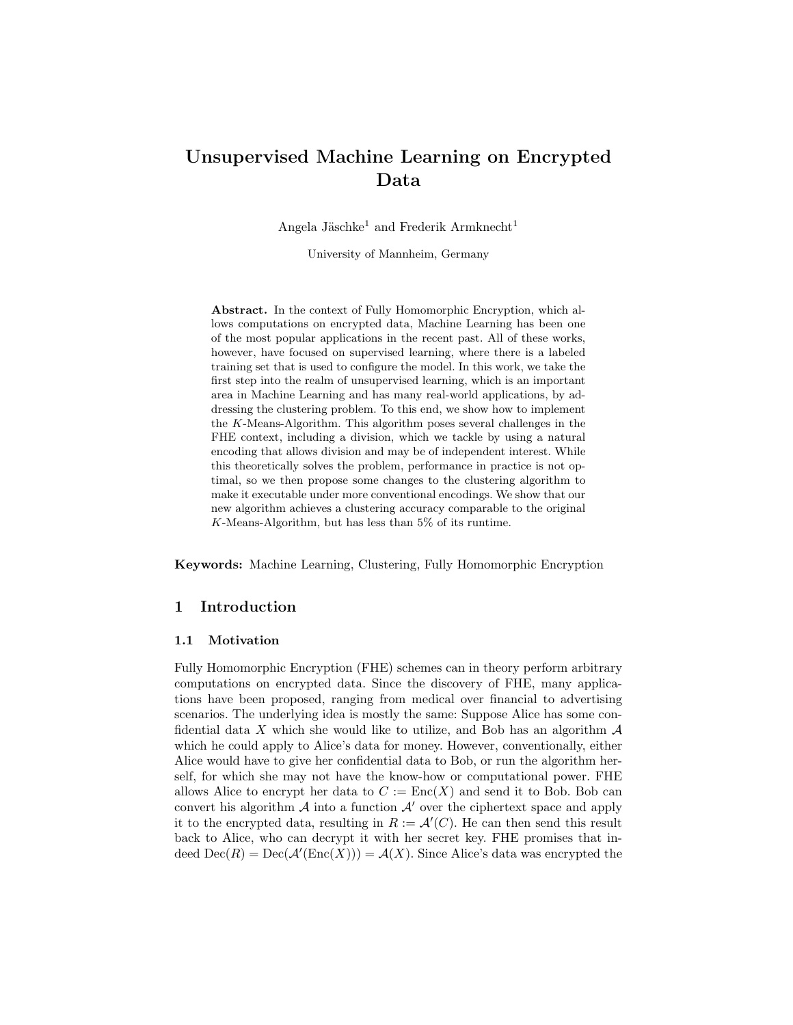# Unsupervised Machine Learning on Encrypted Data

Angela Jäschke<sup>1</sup> and Frederik Armknecht<sup>1</sup>

University of Mannheim, Germany

Abstract. In the context of Fully Homomorphic Encryption, which allows computations on encrypted data, Machine Learning has been one of the most popular applications in the recent past. All of these works, however, have focused on supervised learning, where there is a labeled training set that is used to configure the model. In this work, we take the first step into the realm of unsupervised learning, which is an important area in Machine Learning and has many real-world applications, by addressing the clustering problem. To this end, we show how to implement the K-Means-Algorithm. This algorithm poses several challenges in the FHE context, including a division, which we tackle by using a natural encoding that allows division and may be of independent interest. While this theoretically solves the problem, performance in practice is not optimal, so we then propose some changes to the clustering algorithm to make it executable under more conventional encodings. We show that our new algorithm achieves a clustering accuracy comparable to the original K-Means-Algorithm, but has less than 5% of its runtime.

Keywords: Machine Learning, Clustering, Fully Homomorphic Encryption

# 1 Introduction

#### 1.1 Motivation

Fully Homomorphic Encryption (FHE) schemes can in theory perform arbitrary computations on encrypted data. Since the discovery of FHE, many applications have been proposed, ranging from medical over financial to advertising scenarios. The underlying idea is mostly the same: Suppose Alice has some confidential data X which she would like to utilize, and Bob has an algorithm  $\mathcal A$ which he could apply to Alice's data for money. However, conventionally, either Alice would have to give her confidential data to Bob, or run the algorithm herself, for which she may not have the know-how or computational power. FHE allows Alice to encrypt her data to  $C := \text{Enc}(X)$  and send it to Bob. Bob can convert his algorithm  $\mathcal A$  into a function  $\mathcal A'$  over the ciphertext space and apply it to the encrypted data, resulting in  $R := \mathcal{A}'(C)$ . He can then send this result back to Alice, who can decrypt it with her secret key. FHE promises that indeed  $\text{Dec}(R) = \text{Dec}(\mathcal{A}'(\text{Enc}(X))) = \mathcal{A}(X)$ . Since Alice's data was encrypted the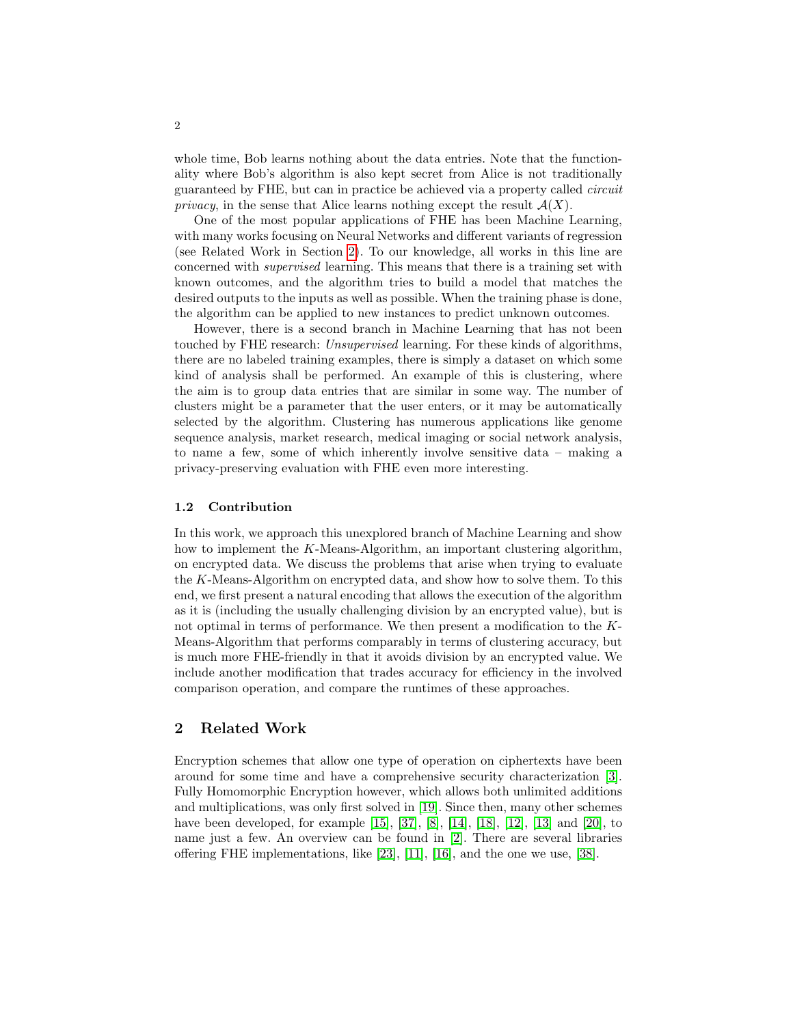whole time, Bob learns nothing about the data entries. Note that the functionality where Bob's algorithm is also kept secret from Alice is not traditionally guaranteed by FHE, but can in practice be achieved via a property called circuit privacy, in the sense that Alice learns nothing except the result  $\mathcal{A}(X)$ .

One of the most popular applications of FHE has been Machine Learning, with many works focusing on Neural Networks and different variants of regression (see Related Work in Section [2\)](#page-1-0). To our knowledge, all works in this line are concerned with supervised learning. This means that there is a training set with known outcomes, and the algorithm tries to build a model that matches the desired outputs to the inputs as well as possible. When the training phase is done, the algorithm can be applied to new instances to predict unknown outcomes.

However, there is a second branch in Machine Learning that has not been touched by FHE research: Unsupervised learning. For these kinds of algorithms, there are no labeled training examples, there is simply a dataset on which some kind of analysis shall be performed. An example of this is clustering, where the aim is to group data entries that are similar in some way. The number of clusters might be a parameter that the user enters, or it may be automatically selected by the algorithm. Clustering has numerous applications like genome sequence analysis, market research, medical imaging or social network analysis, to name a few, some of which inherently involve sensitive data – making a privacy-preserving evaluation with FHE even more interesting.

#### 1.2 Contribution

In this work, we approach this unexplored branch of Machine Learning and show how to implement the K-Means-Algorithm, an important clustering algorithm, on encrypted data. We discuss the problems that arise when trying to evaluate the K-Means-Algorithm on encrypted data, and show how to solve them. To this end, we first present a natural encoding that allows the execution of the algorithm as it is (including the usually challenging division by an encrypted value), but is not optimal in terms of performance. We then present a modification to the K-Means-Algorithm that performs comparably in terms of clustering accuracy, but is much more FHE-friendly in that it avoids division by an encrypted value. We include another modification that trades accuracy for efficiency in the involved comparison operation, and compare the runtimes of these approaches.

### <span id="page-1-0"></span>2 Related Work

Encryption schemes that allow one type of operation on ciphertexts have been around for some time and have a comprehensive security characterization [\[3\]](#page-24-0). Fully Homomorphic Encryption however, which allows both unlimited additions and multiplications, was only first solved in [\[19\]](#page-24-1). Since then, many other schemes have been developed, for example [\[15\]](#page-24-2), [\[37\]](#page-25-0), [\[8\]](#page-24-3), [\[14\]](#page-24-4), [\[18\]](#page-24-5), [\[12\]](#page-24-6), [\[13\]](#page-24-7) and [\[20\]](#page-24-8), to name just a few. An overview can be found in [\[2\]](#page-23-0). There are several libraries offering FHE implementations, like [\[23\]](#page-24-9), [\[11\]](#page-24-10), [\[16\]](#page-24-11), and the one we use, [\[38\]](#page-25-1).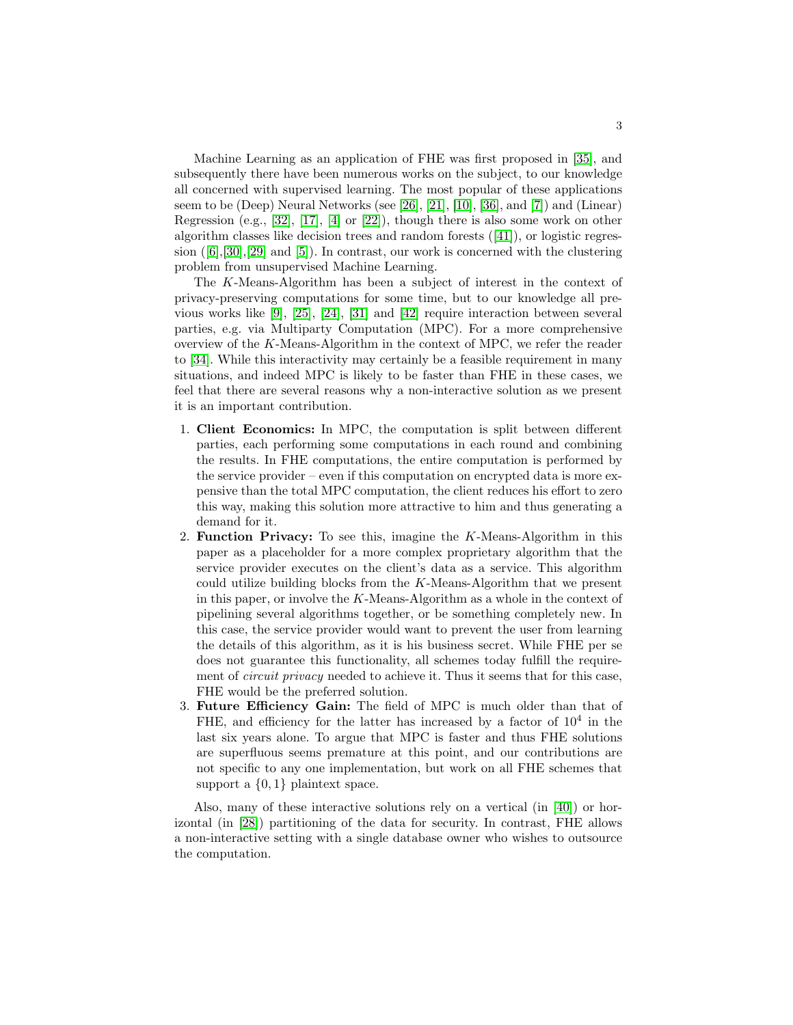Machine Learning as an application of FHE was first proposed in [\[35\]](#page-25-2), and subsequently there have been numerous works on the subject, to our knowledge all concerned with supervised learning. The most popular of these applications seem to be (Deep) Neural Networks (see [\[26\]](#page-24-12), [\[21\]](#page-24-13), [\[10\]](#page-24-14), [\[36\]](#page-25-3), and [\[7\]](#page-24-15)) and (Linear) Regression (e.g., [\[32\]](#page-25-4), [\[17\]](#page-24-16), [\[4\]](#page-24-17) or [\[22\]](#page-24-18)), though there is also some work on other algorithm classes like decision trees and random forests ([\[41\]](#page-25-5)), or logistic regression  $([6], [30], [29]$  $([6], [30], [29]$  $([6], [30], [29]$  $([6], [30], [29]$  $([6], [30], [29]$  $([6], [30], [29]$  and  $[5]$ ). In contrast, our work is concerned with the clustering problem from unsupervised Machine Learning.

The K-Means-Algorithm has been a subject of interest in the context of privacy-preserving computations for some time, but to our knowledge all previous works like [\[9\]](#page-24-21), [\[25\]](#page-24-22), [\[24\]](#page-24-23), [\[31\]](#page-25-8) and [\[42\]](#page-25-9) require interaction between several parties, e.g. via Multiparty Computation (MPC). For a more comprehensive overview of the K-Means-Algorithm in the context of MPC, we refer the reader to [\[34\]](#page-25-10). While this interactivity may certainly be a feasible requirement in many situations, and indeed MPC is likely to be faster than FHE in these cases, we feel that there are several reasons why a non-interactive solution as we present it is an important contribution.

- 1. Client Economics: In MPC, the computation is split between different parties, each performing some computations in each round and combining the results. In FHE computations, the entire computation is performed by the service provider – even if this computation on encrypted data is more expensive than the total MPC computation, the client reduces his effort to zero this way, making this solution more attractive to him and thus generating a demand for it.
- 2. Function Privacy: To see this, imagine the K-Means-Algorithm in this paper as a placeholder for a more complex proprietary algorithm that the service provider executes on the client's data as a service. This algorithm could utilize building blocks from the K-Means-Algorithm that we present in this paper, or involve the K-Means-Algorithm as a whole in the context of pipelining several algorithms together, or be something completely new. In this case, the service provider would want to prevent the user from learning the details of this algorithm, as it is his business secret. While FHE per se does not guarantee this functionality, all schemes today fulfill the requirement of *circuit privacy* needed to achieve it. Thus it seems that for this case, FHE would be the preferred solution.
- 3. Future Efficiency Gain: The field of MPC is much older than that of FHE, and efficiency for the latter has increased by a factor of  $10<sup>4</sup>$  in the last six years alone. To argue that MPC is faster and thus FHE solutions are superfluous seems premature at this point, and our contributions are not specific to any one implementation, but work on all FHE schemes that support a  $\{0,1\}$  plaintext space.

Also, many of these interactive solutions rely on a vertical (in [\[40\]](#page-25-11)) or horizontal (in [\[28\]](#page-25-12)) partitioning of the data for security. In contrast, FHE allows a non-interactive setting with a single database owner who wishes to outsource the computation.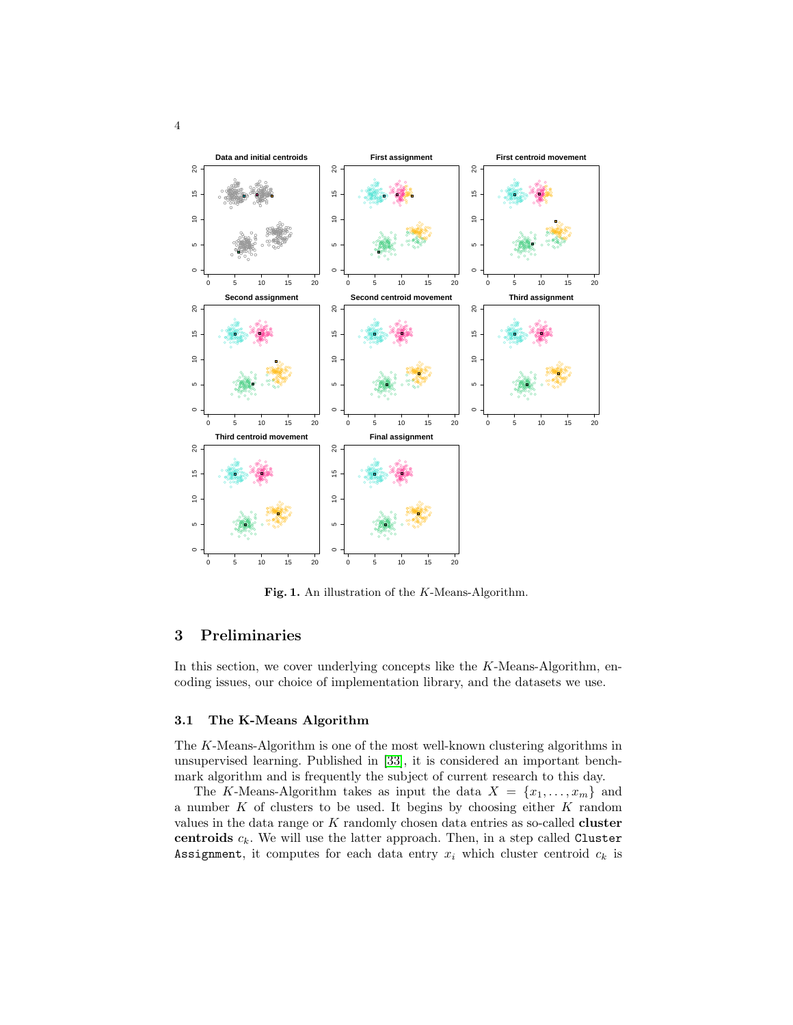

<span id="page-3-0"></span>Fig. 1. An illustration of the K-Means-Algorithm.

# 3 Preliminaries

In this section, we cover underlying concepts like the  $K$ -Means-Algorithm, encoding issues, our choice of implementation library, and the datasets we use.

#### 3.1 The K-Means Algorithm

The K-Means-Algorithm is one of the most well-known clustering algorithms in unsupervised learning. Published in [\[33\]](#page-25-13), it is considered an important benchmark algorithm and is frequently the subject of current research to this day.

The K-Means-Algorithm takes as input the data  $X = \{x_1, \ldots, x_m\}$  and a number  $K$  of clusters to be used. It begins by choosing either  $K$  random values in the data range or  $K$  randomly chosen data entries as so-called **cluster** centroids  $c_k$ . We will use the latter approach. Then, in a step called Cluster Assignment, it computes for each data entry  $x_i$  which cluster centroid  $c_k$  is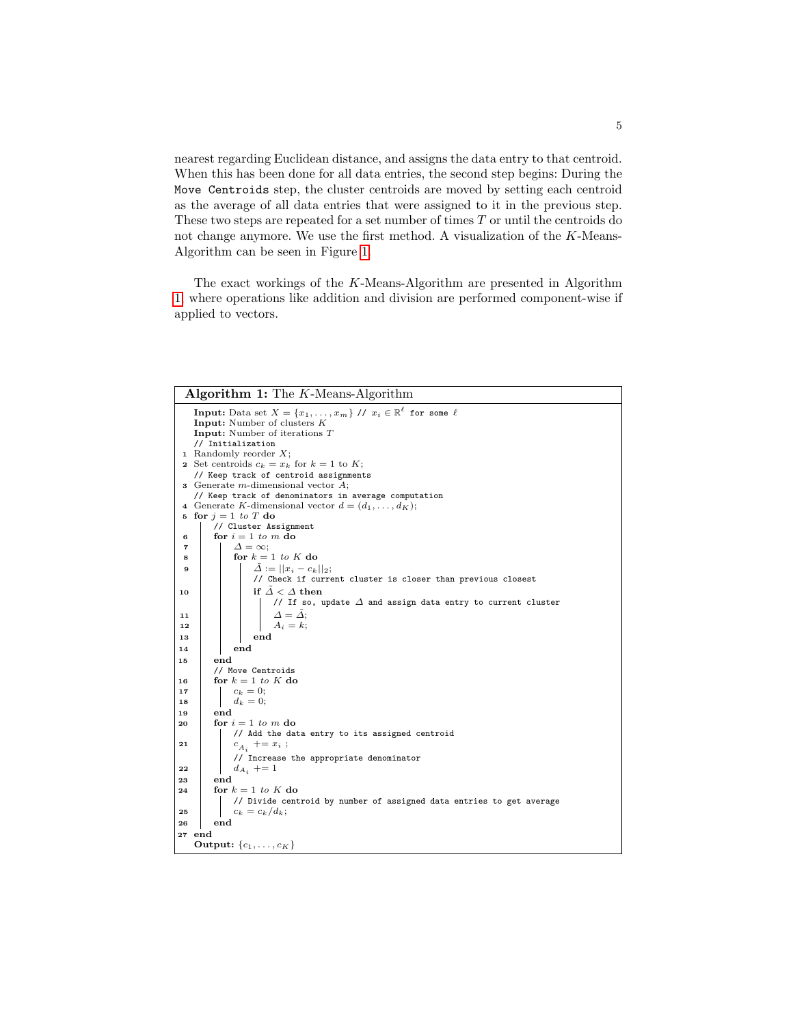nearest regarding Euclidean distance, and assigns the data entry to that centroid. When this has been done for all data entries, the second step begins: During the Move Centroids step, the cluster centroids are moved by setting each centroid as the average of all data entries that were assigned to it in the previous step. These two steps are repeated for a set number of times  $T$  or until the centroids do not change anymore. We use the first method. A visualization of the K-Means-Algorithm can be seen in Figure [1.](#page-3-0)

The exact workings of the K-Means-Algorithm are presented in Algorithm [1,](#page-4-0) where operations like addition and division are performed component-wise if applied to vectors.

<span id="page-4-3"></span><span id="page-4-2"></span><span id="page-4-1"></span><span id="page-4-0"></span>

|    | Algorithm 1: The K-Means-Algorithm                                                               |  |  |  |  |
|----|--------------------------------------------------------------------------------------------------|--|--|--|--|
|    | <b>Input:</b> Data set $X = \{x_1, \ldots, x_m\}$ // $x_i \in \mathbb{R}^{\ell}$ for some $\ell$ |  |  |  |  |
|    | <b>Input:</b> Number of clusters K                                                               |  |  |  |  |
|    | <b>Input:</b> Number of iterations T                                                             |  |  |  |  |
|    | // Initialization                                                                                |  |  |  |  |
|    | 1 Randomly reorder $X$ ;                                                                         |  |  |  |  |
|    | 2 Set centroids $c_k = x_k$ for $k = 1$ to K;                                                    |  |  |  |  |
|    | // Keep track of centroid assignments                                                            |  |  |  |  |
|    | <b>3</b> Generate <i>m</i> -dimensional vector $A$ ;                                             |  |  |  |  |
|    | // Keep track of denominators in average computation                                             |  |  |  |  |
|    | 4 Generate K-dimensional vector $d = (d_1, \ldots, d_K);$<br>5 for $j = 1$ to T do               |  |  |  |  |
|    | // Cluster Assignment                                                                            |  |  |  |  |
| 6  | for $i = 1$ to m do                                                                              |  |  |  |  |
| 7  | $\varDelta=\infty;$                                                                              |  |  |  |  |
| 8  | for $k = 1$ to K do                                                                              |  |  |  |  |
| 9  | $\Delta :=   x_i - c_k  _2;$                                                                     |  |  |  |  |
|    | // Check if current cluster is closer than previous closest                                      |  |  |  |  |
| 10 | if $\tilde{\Delta} < \Delta$ then                                                                |  |  |  |  |
|    | // If so, update $\Delta$ and assign data entry to current cluster                               |  |  |  |  |
| 11 |                                                                                                  |  |  |  |  |
| 12 | $\Delta = \tilde{\Delta};$<br>$A_i = k;$                                                         |  |  |  |  |
| 13 | end                                                                                              |  |  |  |  |
| 14 | end                                                                                              |  |  |  |  |
| 15 | end                                                                                              |  |  |  |  |
|    | // Move Centroids                                                                                |  |  |  |  |
| 16 | for $k = 1$ to K do                                                                              |  |  |  |  |
| 17 | $c_k=0;$                                                                                         |  |  |  |  |
| 18 | $d_k=0;$                                                                                         |  |  |  |  |
| 19 | end                                                                                              |  |  |  |  |
| 20 | for $i=1$ to m do                                                                                |  |  |  |  |
|    | // Add the data entry to its assigned centroid                                                   |  |  |  |  |
| 21 | $c_{A_i}$ += $x_i$ ;                                                                             |  |  |  |  |
|    | // Increase the appropriate denominator                                                          |  |  |  |  |
| 22 | $d_{A_i}$ += 1                                                                                   |  |  |  |  |
| 23 | end                                                                                              |  |  |  |  |
| 24 | for $k = 1$ to K do                                                                              |  |  |  |  |
|    | // Divide centroid by number of assigned data entries to get average                             |  |  |  |  |
| 25 | $c_k = c_k/d_k;$                                                                                 |  |  |  |  |
| 26 | end                                                                                              |  |  |  |  |
|    | 27 end                                                                                           |  |  |  |  |
|    | Output: $\{c_1, \ldots, c_K\}$                                                                   |  |  |  |  |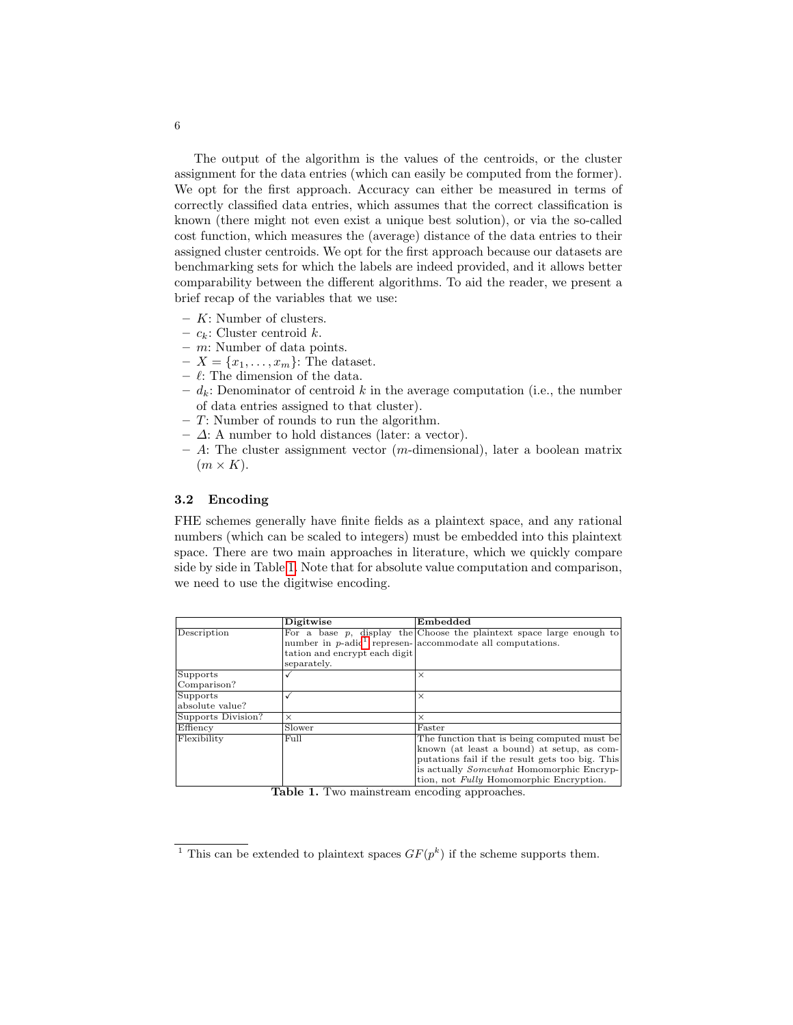The output of the algorithm is the values of the centroids, or the cluster assignment for the data entries (which can easily be computed from the former). We opt for the first approach. Accuracy can either be measured in terms of correctly classified data entries, which assumes that the correct classification is known (there might not even exist a unique best solution), or via the so-called cost function, which measures the (average) distance of the data entries to their assigned cluster centroids. We opt for the first approach because our datasets are benchmarking sets for which the labels are indeed provided, and it allows better comparability between the different algorithms. To aid the reader, we present a brief recap of the variables that we use:

- $-$  K: Number of clusters.
- $c_k$ : Cluster centroid k.
- $-$  m: Number of data points.
- $-X = \{x_1, \ldots, x_m\}$ : The dataset.
- $\ell$ : The dimension of the data.
- $-d_k$ : Denominator of centroid k in the average computation (i.e., the number of data entries assigned to that cluster).
- T: Number of rounds to run the algorithm.
- $\Delta$ : A number to hold distances (later: a vector).
- $A$ : The cluster assignment vector (*m*-dimensional), later a boolean matrix  $(m \times K)$ .

#### 3.2 Encoding

FHE schemes generally have finite fields as a plaintext space, and any rational numbers (which can be scaled to integers) must be embedded into this plaintext space. There are two main approaches in literature, which we quickly compare side by side in Table [1.](#page-5-0) Note that for absolute value computation and comparison, we need to use the digitwise encoding.

|                    | Digitwise                     | Embedded                                                                          |
|--------------------|-------------------------------|-----------------------------------------------------------------------------------|
| Description        |                               | For a base p, display the Choose the plaintext space large enough to              |
|                    |                               | number in $p$ -adic <sup>1</sup> represen- $\alpha$ accommodate all computations. |
|                    | tation and encrypt each digit |                                                                                   |
|                    | separately.                   |                                                                                   |
| Supports           |                               | $\times$                                                                          |
| Comparison?        |                               |                                                                                   |
| Supports           |                               | $\times$                                                                          |
| absolute value?    |                               |                                                                                   |
| Supports Division? | $\times$                      | $\times$                                                                          |
| Effiency           | Slower                        | Faster                                                                            |
| Flexibility        | Full                          | The function that is being computed must be                                       |
|                    |                               | known (at least a bound) at setup, as com-                                        |
|                    |                               | putations fail if the result gets too big. This                                   |
|                    |                               | is actually Somewhat Homomorphic Encryp-                                          |
|                    |                               | tion, not Fully Homomorphic Encryption.                                           |

<span id="page-5-0"></span>Table 1. Two mainstream encoding approaches.

<span id="page-5-1"></span><sup>&</sup>lt;sup>1</sup> This can be extended to plaintext spaces  $GF(p^k)$  if the scheme supports them.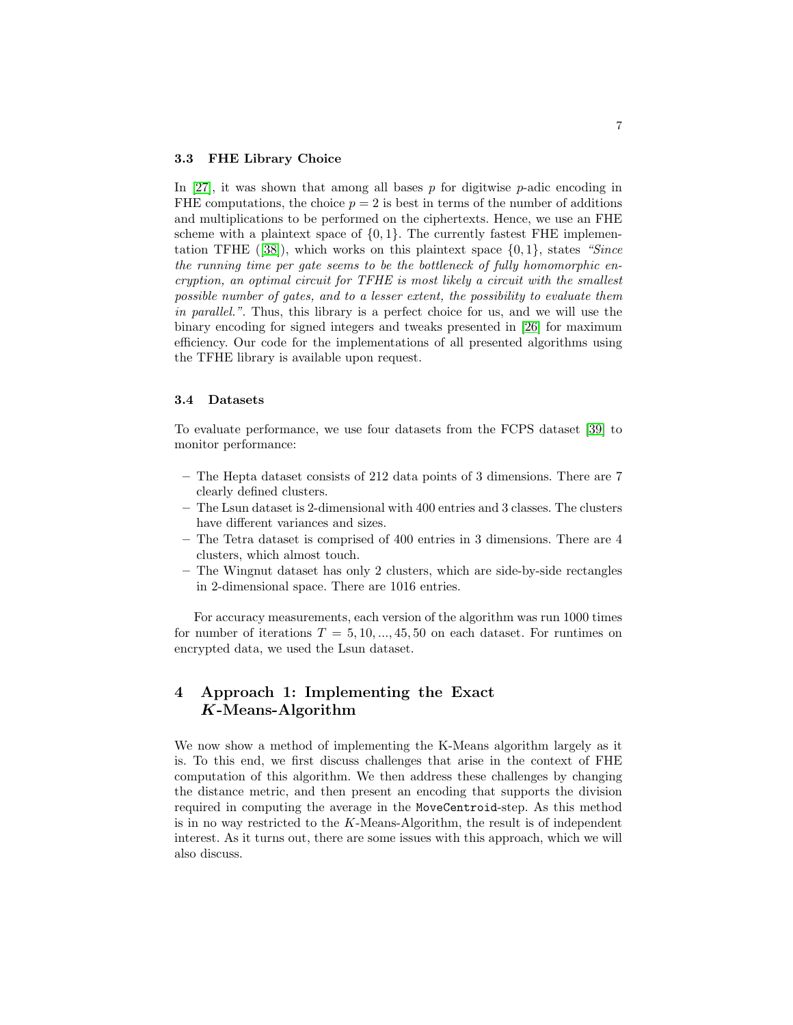#### <span id="page-6-1"></span>3.3 FHE Library Choice

In [\[27\]](#page-25-14), it was shown that among all bases  $p$  for digitwise  $p$ -adic encoding in FHE computations, the choice  $p = 2$  is best in terms of the number of additions and multiplications to be performed on the ciphertexts. Hence, we use an FHE scheme with a plaintext space of  $\{0, 1\}$ . The currently fastest FHE implemen-tation TFHE ([\[38\]](#page-25-1)), which works on this plaintext space  $\{0, 1\}$ , states "Since the running time per gate seems to be the bottleneck of fully homomorphic encryption, an optimal circuit for TFHE is most likely a circuit with the smallest possible number of gates, and to a lesser extent, the possibility to evaluate them in parallel.". Thus, this library is a perfect choice for us, and we will use the binary encoding for signed integers and tweaks presented in [\[26\]](#page-24-12) for maximum efficiency. Our code for the implementations of all presented algorithms using the TFHE library is available upon request.

#### <span id="page-6-0"></span>3.4 Datasets

To evaluate performance, we use four datasets from the FCPS dataset [\[39\]](#page-25-15) to monitor performance:

- The Hepta dataset consists of 212 data points of 3 dimensions. There are 7 clearly defined clusters.
- The Lsun dataset is 2-dimensional with 400 entries and 3 classes. The clusters have different variances and sizes.
- The Tetra dataset is comprised of 400 entries in 3 dimensions. There are 4 clusters, which almost touch.
- The Wingnut dataset has only 2 clusters, which are side-by-side rectangles in 2-dimensional space. There are 1016 entries.

For accuracy measurements, each version of the algorithm was run 1000 times for number of iterations  $T = 5, 10, ..., 45, 50$  on each dataset. For runtimes on encrypted data, we used the Lsun dataset.

# <span id="page-6-2"></span>4 Approach 1: Implementing the Exact K-Means-Algorithm

We now show a method of implementing the K-Means algorithm largely as it is. To this end, we first discuss challenges that arise in the context of FHE computation of this algorithm. We then address these challenges by changing the distance metric, and then present an encoding that supports the division required in computing the average in the MoveCentroid-step. As this method is in no way restricted to the K-Means-Algorithm, the result is of independent interest. As it turns out, there are some issues with this approach, which we will also discuss.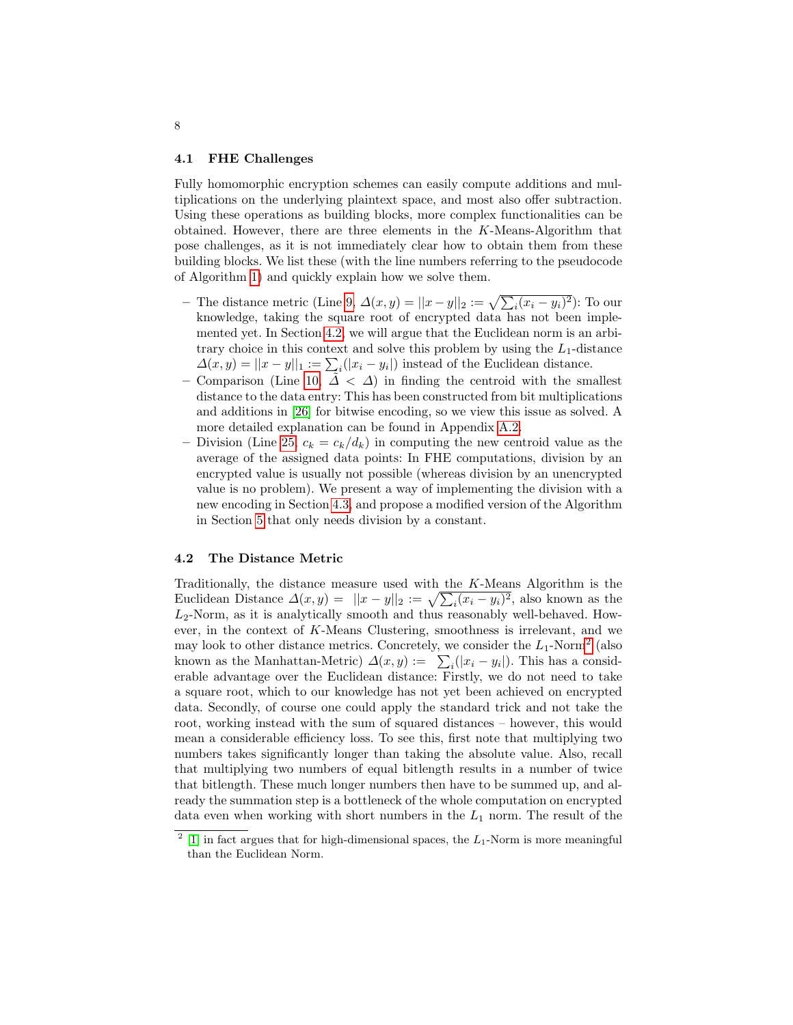#### 4.1 FHE Challenges

Fully homomorphic encryption schemes can easily compute additions and multiplications on the underlying plaintext space, and most also offer subtraction. Using these operations as building blocks, more complex functionalities can be obtained. However, there are three elements in the K-Means-Algorithm that pose challenges, as it is not immediately clear how to obtain them from these building blocks. We list these (with the line numbers referring to the pseudocode of Algorithm [1\)](#page-4-0) and quickly explain how we solve them.

- The distance metric (Line [9,](#page-4-1)  $\Delta(x, y) = ||x y||_2 := \sqrt{\sum_i (x_i y_i)^2}$ ): To our knowledge, taking the square root of encrypted data has not been implemented yet. In Section [4.2,](#page-7-0) we will argue that the Euclidean norm is an arbitrary choice in this context and solve this problem by using the  $L_1$ -distance  $\Delta(x, y) = ||x - y||_1 := \sum_i (|x_i - y_i|)$  instead of the Euclidean distance.
- Comparison (Line [10,](#page-4-2)  $\tilde{\Delta} < \Delta$ ) in finding the centroid with the smallest distance to the data entry: This has been constructed from bit multiplications and additions in [\[26\]](#page-24-12) for bitwise encoding, so we view this issue as solved. A more detailed explanation can be found in Appendix [A.2.](#page-26-0)
- Division (Line [25,](#page-4-3)  $c_k = c_k/d_k$ ) in computing the new centroid value as the average of the assigned data points: In FHE computations, division by an encrypted value is usually not possible (whereas division by an unencrypted value is no problem). We present a way of implementing the division with a new encoding in Section [4.3,](#page-9-0) and propose a modified version of the Algorithm in Section [5](#page-12-0) that only needs division by a constant.

#### <span id="page-7-0"></span>4.2 The Distance Metric

Traditionally, the distance measure used with the K-Means Algorithm is the Euclidean Distance  $\Delta(x, y) = ||x - y||_2 := \sqrt{\sum_i (x_i - y_i)^2}$ , also known as the  $L_2$ -Norm, as it is analytically smooth and thus reasonably well-behaved. However, in the context of K-Means Clustering, smoothness is irrelevant, and we may look to other distance metrics. Concretely, we consider the  $L_1$ -Norm<sup>[2](#page-7-1)</sup> (also known as the Manhattan-Metric)  $\Delta(x, y) := \sum_i (|x_i - y_i|)$ . This has a considerable advantage over the Euclidean distance: Firstly, we do not need to take a square root, which to our knowledge has not yet been achieved on encrypted data. Secondly, of course one could apply the standard trick and not take the root, working instead with the sum of squared distances – however, this would mean a considerable efficiency loss. To see this, first note that multiplying two numbers takes significantly longer than taking the absolute value. Also, recall that multiplying two numbers of equal bitlength results in a number of twice that bitlength. These much longer numbers then have to be summed up, and already the summation step is a bottleneck of the whole computation on encrypted data even when working with short numbers in the  $L_1$  norm. The result of the

8

<span id="page-7-1"></span> $2$  [\[1\]](#page-23-1) in fact argues that for high-dimensional spaces, the  $L_1$ -Norm is more meaningful than the Euclidean Norm.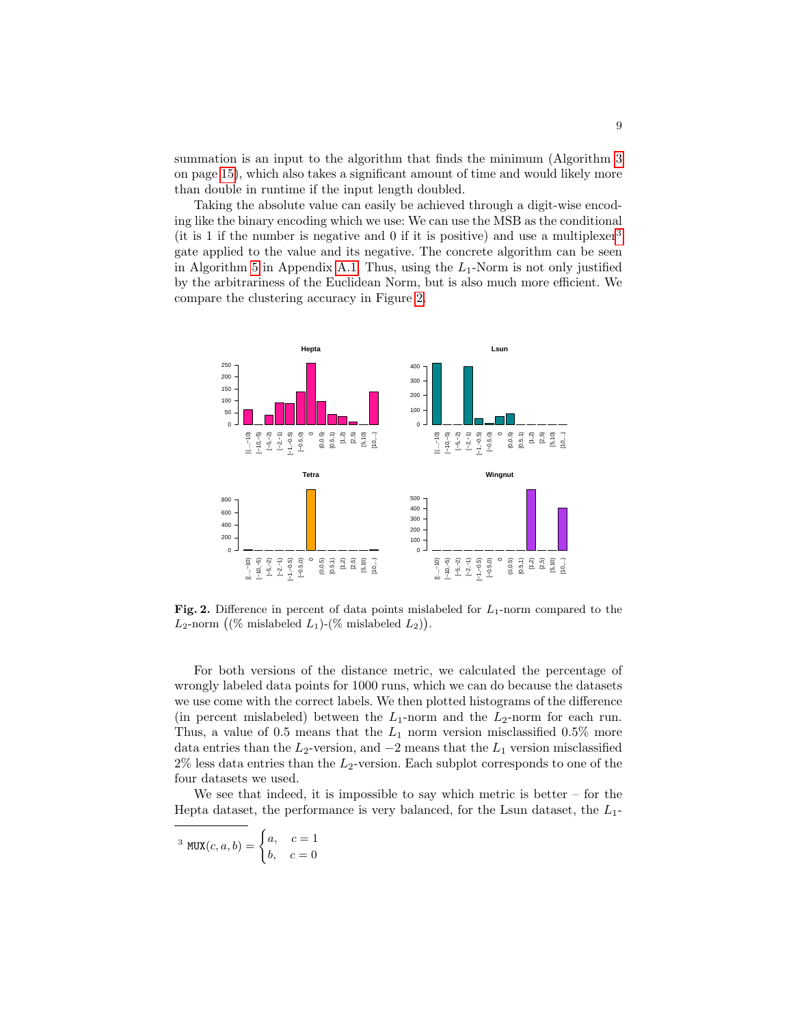summation is an input to the algorithm that finds the minimum (Algorithm [3](#page-14-0) on page [15\)](#page-14-0), which also takes a significant amount of time and would likely more than double in runtime if the input length doubled.

Taking the absolute value can easily be achieved through a digit-wise encoding like the binary encoding which we use: We can use the MSB as the conditional (it is 1 if the number is negative and 0 if it is positive) and use a multiplexer<sup>[3](#page-8-0)</sup> gate applied to the value and its negative. The concrete algorithm can be seen in Algorithm [5](#page-26-1) in Appendix [A.1.](#page-25-16) Thus, using the  $L_1$ -Norm is not only justified by the arbitrariness of the Euclidean Norm, but is also much more efficient. We compare the clustering accuracy in Figure [2.](#page-8-1)



<span id="page-8-1"></span>Fig. 2. Difference in percent of data points mislabeled for  $L_1$ -norm compared to the  $L_2$ -norm  $((\% \text{ mislabeled } L_1)$ - $(\% \text{ mislabeled } L_2)).$ 

For both versions of the distance metric, we calculated the percentage of wrongly labeled data points for 1000 runs, which we can do because the datasets we use come with the correct labels. We then plotted histograms of the difference (in percent mislabeled) between the  $L_1$ -norm and the  $L_2$ -norm for each run. Thus, a value of 0.5 means that the  $L_1$  norm version misclassified 0.5% more data entries than the  $L_2$ -version, and  $-2$  means that the  $L_1$  version misclassified  $2\%$  less data entries than the  $L_2$ -version. Each subplot corresponds to one of the four datasets we used.

We see that indeed, it is impossible to say which metric is better  $-$  for the Hepta dataset, the performance is very balanced, for the Lsun dataset, the  $L_1$ -

<span id="page-8-0"></span>
$$
{}^{3} \text{ MUX}(c, a, b) = \begin{cases} a, & c = 1 \\ b, & c = 0 \end{cases}
$$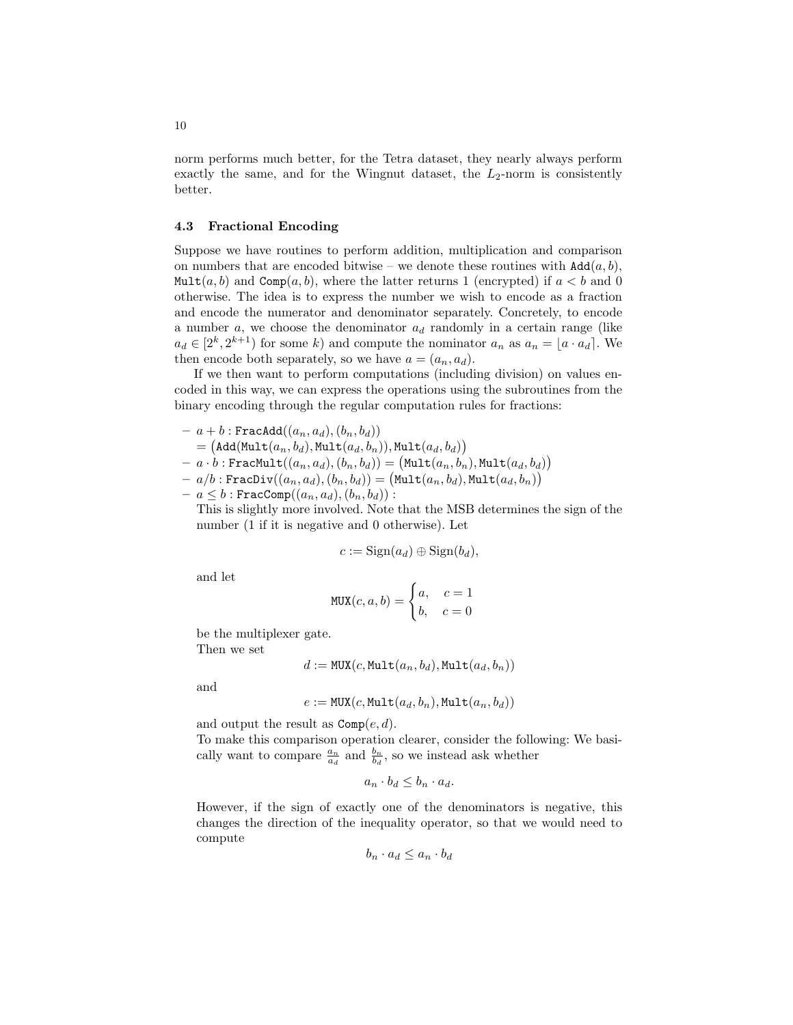norm performs much better, for the Tetra dataset, they nearly always perform exactly the same, and for the Wingnut dataset, the  $L_2$ -norm is consistently better.

#### <span id="page-9-0"></span>4.3 Fractional Encoding

Suppose we have routines to perform addition, multiplication and comparison on numbers that are encoded bitwise – we denote these routines with  $Add(a, b)$ ,  $Mult(a, b)$  and  $Comp(a, b)$ , where the latter returns 1 (encrypted) if  $a < b$  and 0 otherwise. The idea is to express the number we wish to encode as a fraction and encode the numerator and denominator separately. Concretely, to encode a number  $a$ , we choose the denominator  $a_d$  randomly in a certain range (like  $a_d \in [2^k, 2^{k+1})$  for some k) and compute the nominator  $a_n$  as  $a_n = [a \cdot a_d]$ . We then encode both separately, so we have  $a = (a_n, a_d)$ .

If we then want to perform computations (including division) on values encoded in this way, we can express the operations using the subroutines from the binary encoding through the regular computation rules for fractions:

- $-a+b:$  FracAdd $((a_n, a_d), (b_n, b_d))$
- $= \big( \texttt{Add}(\texttt{Mult}(a_n, b_d), \texttt{Mult}(a_d, b_n)), \texttt{Mult}(a_d, b_d) \big)$
- $(a a \cdot b : \texttt{FracMulti}((a_n, a_d), (b_n, b_d)) = (\texttt{Mult}(a_n, b_n), \texttt{Mult}(a_d, b_d)))$
- $(-a/b : \texttt{FracDiv}((a_n, a_d), (b_n, b_d)) = (\texttt{Mult}(a_n, b_d), \texttt{Mult}(a_d, b_n)))$
- $a \leq b : \text{FracComp}((a_n, a_d), (b_n, b_d))$ :

This is slightly more involved. Note that the MSB determines the sign of the number (1 if it is negative and 0 otherwise). Let

$$
c := \operatorname{Sign}(a_d) \oplus \operatorname{Sign}(b_d),
$$

and let

$$
\text{MUX}(c, a, b) = \begin{cases} a, & c = 1 \\ b, & c = 0 \end{cases}
$$

be the multiplexer gate.

Then we set

$$
d := \texttt{MUX}(c, \texttt{Mult}(a_n, b_d), \texttt{Mult}(a_d, b_n))
$$

and

$$
e := \texttt{MUX}(c, \texttt{Mult}(a_d, b_n), \texttt{Mult}(a_n, b_d))
$$

and output the result as  $Comp(e, d)$ .

To make this comparison operation clearer, consider the following: We basically want to compare  $\frac{a_n}{a_d}$  and  $\frac{b_n}{b_d}$ , so we instead ask whether

$$
a_n \cdot b_d \leq b_n \cdot a_d.
$$

However, if the sign of exactly one of the denominators is negative, this changes the direction of the inequality operator, so that we would need to compute

$$
b_n \cdot a_d \le a_n \cdot b_d
$$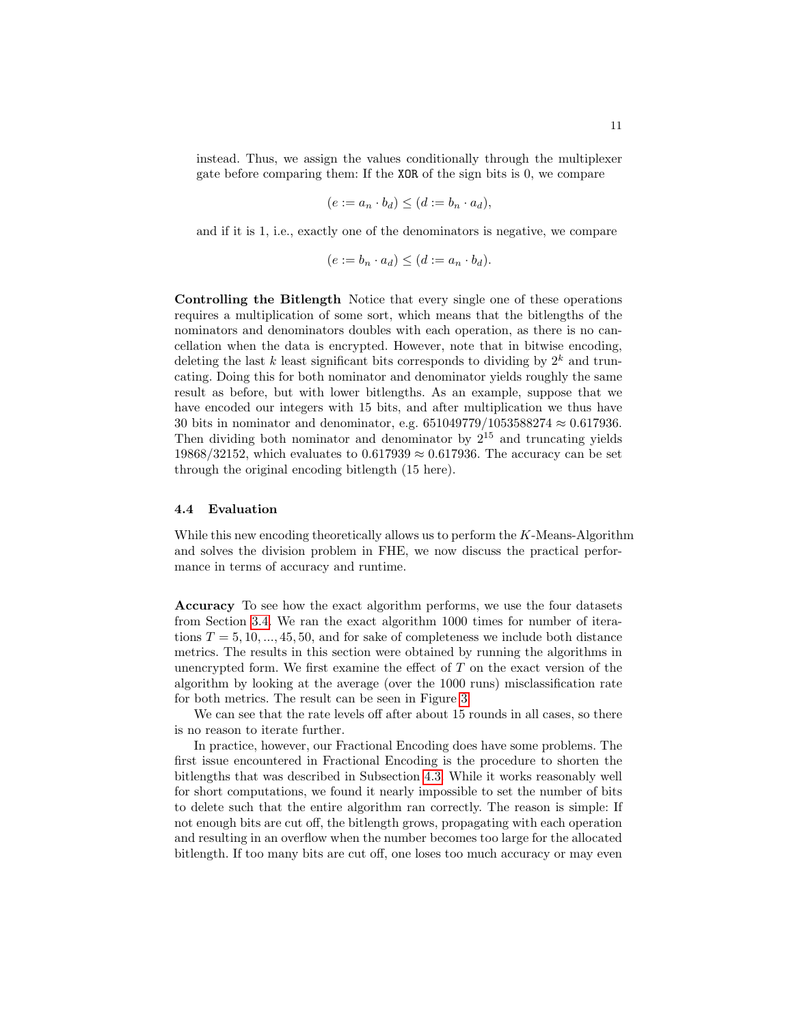instead. Thus, we assign the values conditionally through the multiplexer gate before comparing them: If the XOR of the sign bits is 0, we compare

$$
(e := a_n \cdot b_d) \le (d := b_n \cdot a_d),
$$

and if it is 1, i.e., exactly one of the denominators is negative, we compare

$$
(e := b_n \cdot a_d) \le (d := a_n \cdot b_d).
$$

<span id="page-10-0"></span>Controlling the Bitlength Notice that every single one of these operations requires a multiplication of some sort, which means that the bitlengths of the nominators and denominators doubles with each operation, as there is no cancellation when the data is encrypted. However, note that in bitwise encoding, deleting the last k least significant bits corresponds to dividing by  $2^k$  and truncating. Doing this for both nominator and denominator yields roughly the same result as before, but with lower bitlengths. As an example, suppose that we have encoded our integers with 15 bits, and after multiplication we thus have 30 bits in nominator and denominator, e.g. 651049779/1053588274  $\approx 0.617936$ . Then dividing both nominator and denominator by  $2^{15}$  and truncating yields 19868/32152, which evaluates to  $0.617939 \approx 0.617936$ . The accuracy can be set through the original encoding bitlength (15 here).

#### 4.4 Evaluation

While this new encoding theoretically allows us to perform the K-Means-Algorithm and solves the division problem in FHE, we now discuss the practical performance in terms of accuracy and runtime.

<span id="page-10-1"></span>Accuracy To see how the exact algorithm performs, we use the four datasets from Section [3.4.](#page-6-0) We ran the exact algorithm 1000 times for number of iterations  $T = 5, 10, \ldots, 45, 50$ , and for sake of completeness we include both distance metrics. The results in this section were obtained by running the algorithms in unencrypted form. We first examine the effect of  $T$  on the exact version of the algorithm by looking at the average (over the 1000 runs) misclassification rate for both metrics. The result can be seen in Figure [3.](#page-11-0)

We can see that the rate levels off after about 15 rounds in all cases, so there is no reason to iterate further.

In practice, however, our Fractional Encoding does have some problems. The first issue encountered in Fractional Encoding is the procedure to shorten the bitlengths that was described in Subsection [4.3.](#page-10-0) While it works reasonably well for short computations, we found it nearly impossible to set the number of bits to delete such that the entire algorithm ran correctly. The reason is simple: If not enough bits are cut off, the bitlength grows, propagating with each operation and resulting in an overflow when the number becomes too large for the allocated bitlength. If too many bits are cut off, one loses too much accuracy or may even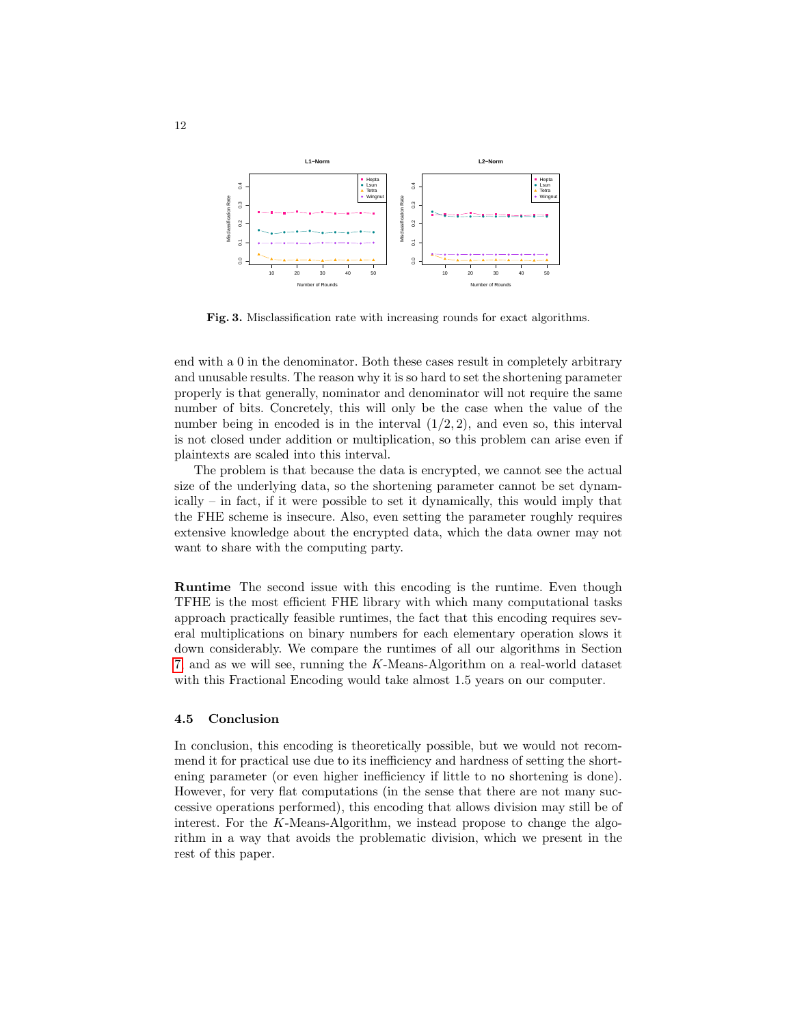

<span id="page-11-0"></span>Fig. 3. Misclassification rate with increasing rounds for exact algorithms.

end with a 0 in the denominator. Both these cases result in completely arbitrary and unusable results. The reason why it is so hard to set the shortening parameter properly is that generally, nominator and denominator will not require the same number of bits. Concretely, this will only be the case when the value of the number being in encoded is in the interval  $(1/2, 2)$ , and even so, this interval is not closed under addition or multiplication, so this problem can arise even if plaintexts are scaled into this interval.

The problem is that because the data is encrypted, we cannot see the actual size of the underlying data, so the shortening parameter cannot be set dynamically – in fact, if it were possible to set it dynamically, this would imply that the FHE scheme is insecure. Also, even setting the parameter roughly requires extensive knowledge about the encrypted data, which the data owner may not want to share with the computing party.

Runtime The second issue with this encoding is the runtime. Even though TFHE is the most efficient FHE library with which many computational tasks approach practically feasible runtimes, the fact that this encoding requires several multiplications on binary numbers for each elementary operation slows it down considerably. We compare the runtimes of all our algorithms in Section [7,](#page-22-0) and as we will see, running the K-Means-Algorithm on a real-world dataset with this Fractional Encoding would take almost 1.5 years on our computer.

#### 4.5 Conclusion

In conclusion, this encoding is theoretically possible, but we would not recommend it for practical use due to its inefficiency and hardness of setting the shortening parameter (or even higher inefficiency if little to no shortening is done). However, for very flat computations (in the sense that there are not many successive operations performed), this encoding that allows division may still be of interest. For the K-Means-Algorithm, we instead propose to change the algorithm in a way that avoids the problematic division, which we present in the rest of this paper.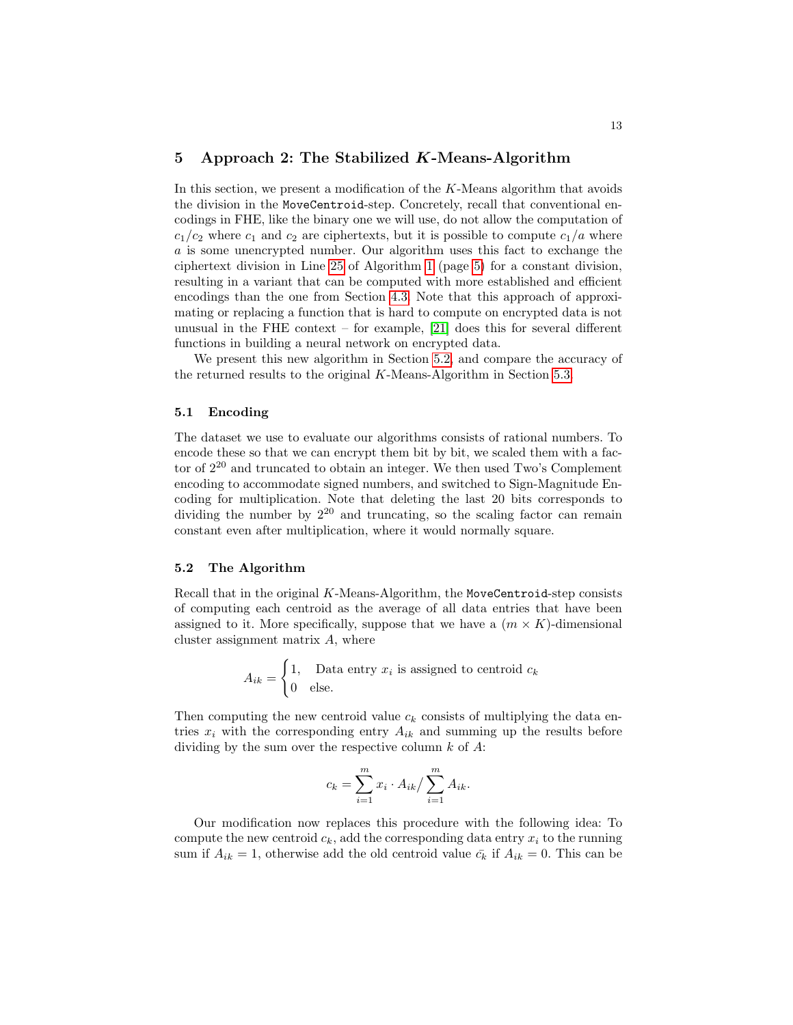# <span id="page-12-0"></span>5 Approach 2: The Stabilized K-Means-Algorithm

In this section, we present a modification of the  $K$ -Means algorithm that avoids the division in the MoveCentroid-step. Concretely, recall that conventional encodings in FHE, like the binary one we will use, do not allow the computation of  $c_1/c_2$  where  $c_1$  and  $c_2$  are ciphertexts, but it is possible to compute  $c_1/a$  where a is some unencrypted number. Our algorithm uses this fact to exchange the ciphertext division in Line [25](#page-4-3) of Algorithm [1](#page-4-0) (page [5\)](#page-4-0) for a constant division, resulting in a variant that can be computed with more established and efficient encodings than the one from Section [4.3.](#page-9-0) Note that this approach of approximating or replacing a function that is hard to compute on encrypted data is not unusual in the FHE context – for example, [\[21\]](#page-24-13) does this for several different functions in building a neural network on encrypted data.

We present this new algorithm in Section [5.2,](#page-12-1) and compare the accuracy of the returned results to the original K-Means-Algorithm in Section [5.3.](#page-16-0)

#### <span id="page-12-2"></span>5.1 Encoding

The dataset we use to evaluate our algorithms consists of rational numbers. To encode these so that we can encrypt them bit by bit, we scaled them with a factor of  $2^{20}$  and truncated to obtain an integer. We then used Two's Complement encoding to accommodate signed numbers, and switched to Sign-Magnitude Encoding for multiplication. Note that deleting the last 20 bits corresponds to dividing the number by  $2^{20}$  and truncating, so the scaling factor can remain constant even after multiplication, where it would normally square.

#### <span id="page-12-1"></span>5.2 The Algorithm

Recall that in the original  $K$ -Means-Algorithm, the MoveCentroid-step consists of computing each centroid as the average of all data entries that have been assigned to it. More specifically, suppose that we have a  $(m \times K)$ -dimensional cluster assignment matrix  $A$ , where

$$
A_{ik} = \begin{cases} 1, & \text{Data entry } x_i \text{ is assigned to centroid } c_k \\ 0 & \text{else.} \end{cases}
$$

Then computing the new centroid value  $c_k$  consists of multiplying the data entries  $x_i$  with the corresponding entry  $A_{ik}$  and summing up the results before dividing by the sum over the respective column  $k$  of  $A$ :

$$
c_k = \sum_{i=1}^{m} x_i \cdot A_{ik} / \sum_{i=1}^{m} A_{ik}.
$$

Our modification now replaces this procedure with the following idea: To compute the new centroid  $c_k$ , add the corresponding data entry  $x_i$  to the running sum if  $A_{ik} = 1$ , otherwise add the old centroid value  $\bar{c}_k$  if  $A_{ik} = 0$ . This can be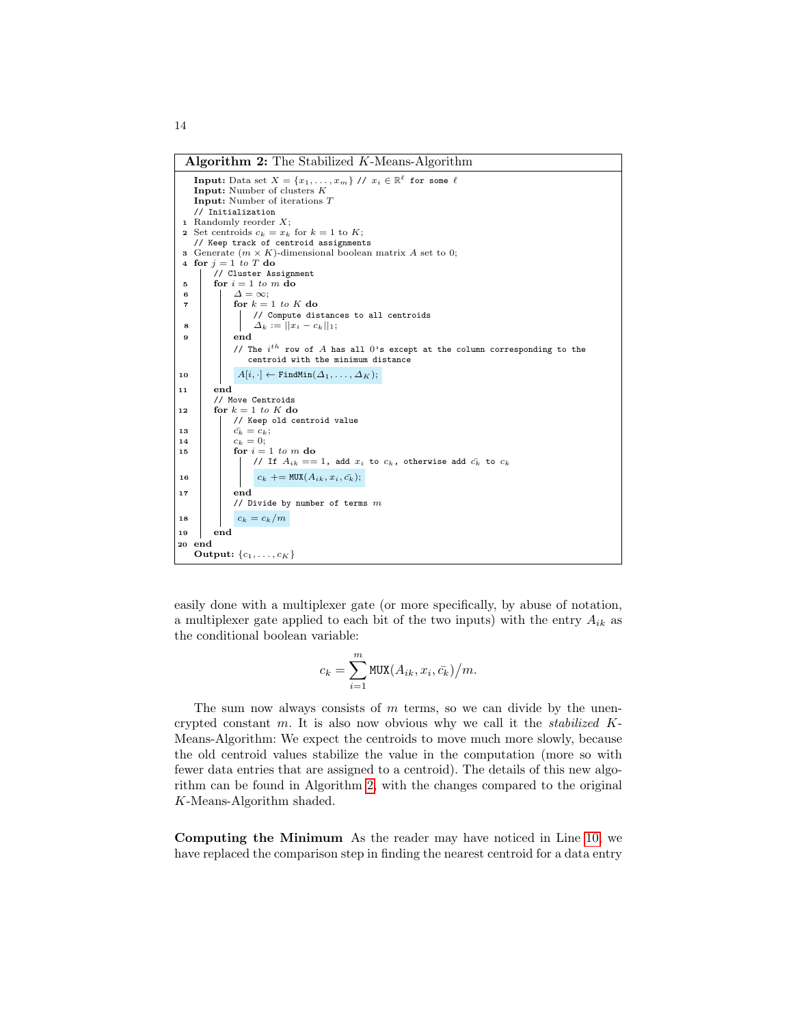Algorithm 2: The Stabilized K-Means-Algorithm

<span id="page-13-1"></span>

<span id="page-13-0"></span>easily done with a multiplexer gate (or more specifically, by abuse of notation, a multiplexer gate applied to each bit of the two inputs) with the entry  $A_{ik}$  as the conditional boolean variable:

$$
c_k = \sum_{i=1}^m \text{MUX}(A_{ik}, x_i, \bar{c}_k) \big/ m.
$$

The sum now always consists of  $m$  terms, so we can divide by the unencrypted constant m. It is also now obvious why we call it the *stabilized K*-Means-Algorithm: We expect the centroids to move much more slowly, because the old centroid values stabilize the value in the computation (more so with fewer data entries that are assigned to a centroid). The details of this new algorithm can be found in Algorithm [2,](#page-13-0) with the changes compared to the original K-Means-Algorithm shaded.

Computing the Minimum As the reader may have noticed in Line [10,](#page-13-1) we have replaced the comparison step in finding the nearest centroid for a data entry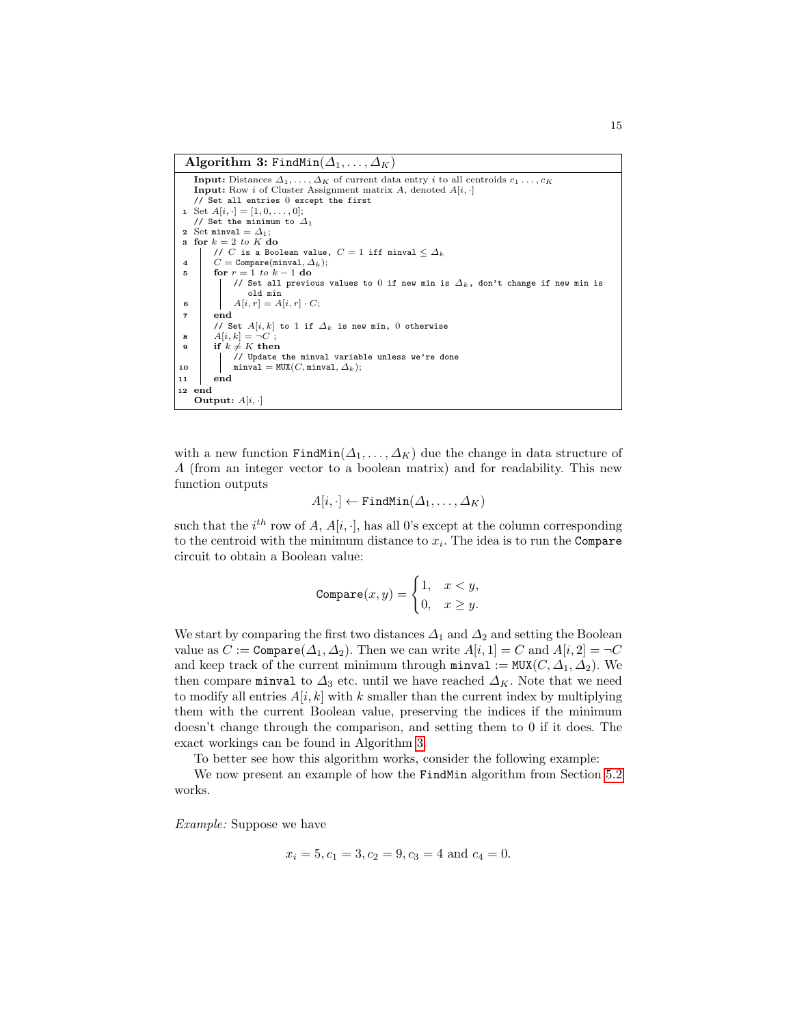#### Algorithm 3: FindMin $(\varDelta_1,\ldots,\varDelta_K)$

```
Input: Distances \Delta_1, \ldots, \Delta_K of current data entry i to all centroids c_1 \ldots, c_KInput: Row i of Cluster Assignment matrix A, denoted A[i, \cdot]// Set all entries 0 except the first
 1 Set A[i, \cdot] = [1, 0, \ldots, 0];// Set the minimum to \Delta_12 Set minval = \varDelta_1;
 3 for k = 2 to K do
         // C is a Boolean value, C = 1 iff minval \leq \Delta_k4 C = \text{Compare}(\text{minval}, \Delta_k);<br>5 \text{for } r = 1 \text{ to } k - 1 \text{ do}for r = 1 to k - 1 do
             // Set all previous values to 0 if new min is \Delta_k, don't change if new min is
                  old min
 6 A[i, r] = A[i, r] \cdot C;7 end
 \begin{array}{c|c} & // Set A[i, k] to 1 if ∆_k is new min, 0 otherwise \hline \end{array} A[i, k] = ¬C ;
 9 if k \neq K then
              // Update the minval variable unless we're done
10 \parallel minval = MUX(C, minval, \Delta_k);
11 end
12 end
    Output: A[i, \cdot]
```
<span id="page-14-0"></span>with a new function FindMin $(\Delta_1, \ldots, \Delta_K)$  due the change in data structure of A (from an integer vector to a boolean matrix) and for readability. This new function outputs

$$
A[i,\cdot] \gets \texttt{FindMin}(\varDelta_1, \ldots, \varDelta_K)
$$

such that the  $i^{th}$  row of A,  $A[i, \cdot]$ , has all 0's except at the column corresponding to the centroid with the minimum distance to  $x_i$ . The idea is to run the Compare circuit to obtain a Boolean value:

$$
\text{Compare}(x, y) = \begin{cases} 1, & x < y, \\ 0, & x \ge y. \end{cases}
$$

We start by comparing the first two distances  $\Delta_1$  and  $\Delta_2$  and setting the Boolean value as  $C := \text{Compare}(\Delta_1, \Delta_2)$ . Then we can write  $A[i, 1] = C$  and  $A[i, 2] = \neg C$ and keep track of the current minimum through  $\text{minval} := \text{MUX}(C, \Delta_1, \Delta_2)$ . We then compare minval to  $\Delta_3$  etc. until we have reached  $\Delta_K$ . Note that we need to modify all entries  $A[i, k]$  with k smaller than the current index by multiplying them with the current Boolean value, preserving the indices if the minimum doesn't change through the comparison, and setting them to 0 if it does. The exact workings can be found in Algorithm [3.](#page-14-0)

To better see how this algorithm works, consider the following example:

We now present an example of how the FindMin algorithm from Section [5.2](#page-12-1) works.

Example: Suppose we have

$$
x_i = 5, c_1 = 3, c_2 = 9, c_3 = 4
$$
 and  $c_4 = 0$ .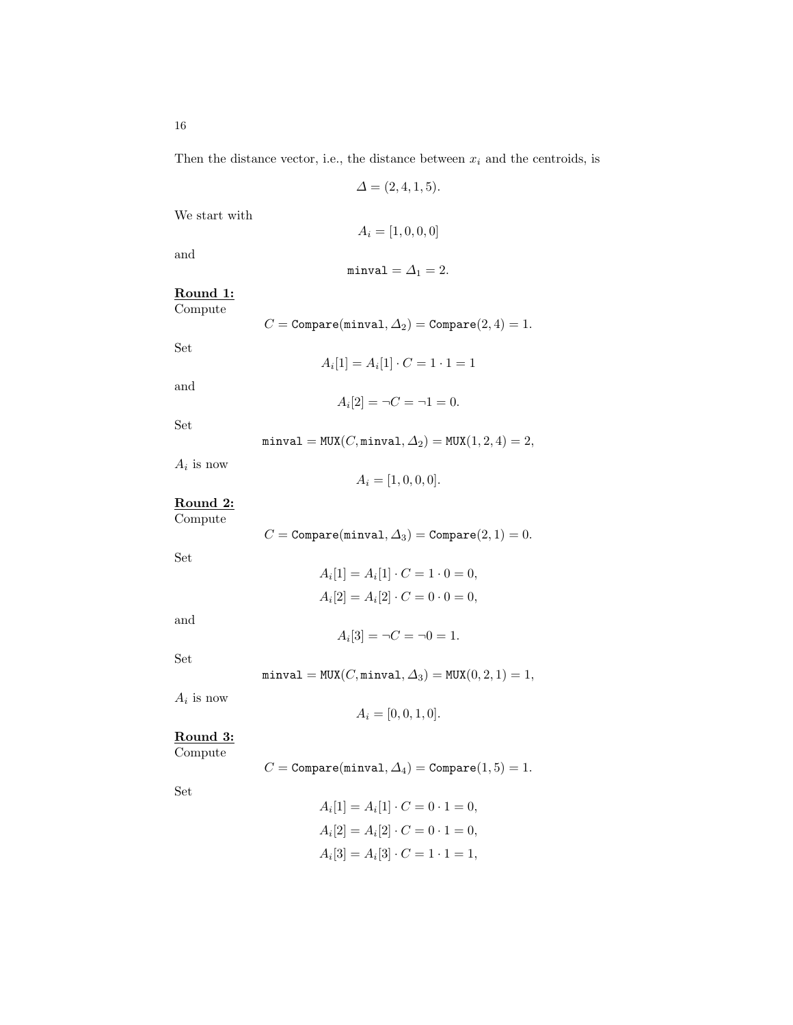Then the distance vector, i.e., the distance between  $x_i$  and the centroids, is

$$
\Delta = (2, 4, 1, 5).
$$

 $A_i = [1, 0, 0, 0]$ 

We start with

and

$$
\mathtt{minval} = \varDelta_1 = 2.
$$

 $C = \texttt{Compare}(\texttt{minval}, \varDelta_2) = \texttt{Compare}(2,4) = 1.$ 

 $1 = 1\,$ 

# Round 1:

Compute

Set

and

Set

 $\texttt{minval} = \texttt{MUX}(C, \texttt{minval}, \Delta_2) = \texttt{MUX}(1, 2, 4) = 2,$ 

 $A_i[2] = \neg C = \neg 1 = 0.$ 

 $A_i$  is now

 $A_i = [1, 0, 0, 0].$ 

### Round 2:

Compute

 $C = \text{Compare}(\text{minval}, \Delta_3) = \text{Compare}(2, 1) = 0.$ 

Set

$$
A_i[1] = A_i[1] \cdot C = 1 \cdot 0 = 0,
$$
  

$$
A_i[2] = A_i[2] \cdot C = 0 \cdot 0 = 0,
$$

and

 $A_i[3] = \neg C = \neg 0 = 1.$ 

Set

$$
\mathtt{minval} = \mathtt{MUX}(C, \mathtt{minval}, \Delta_3) = \mathtt{MUX}(0, 2, 1) = 1,
$$

 $A_i$  is now

$$
A_i = [0, 0, 1, 0].
$$

# Round 3:

Compute

 $C = \text{Compare}(\text{minval}, \Delta_4) = \text{Compare}(1, 5) = 1.$ 

Set

$$
A_i[1] = A_i[1] \cdot C = 0 \cdot 1 = 0,
$$
  
\n
$$
A_i[2] = A_i[2] \cdot C = 0 \cdot 1 = 0,
$$
  
\n
$$
A_i[3] = A_i[3] \cdot C = 1 \cdot 1 = 1,
$$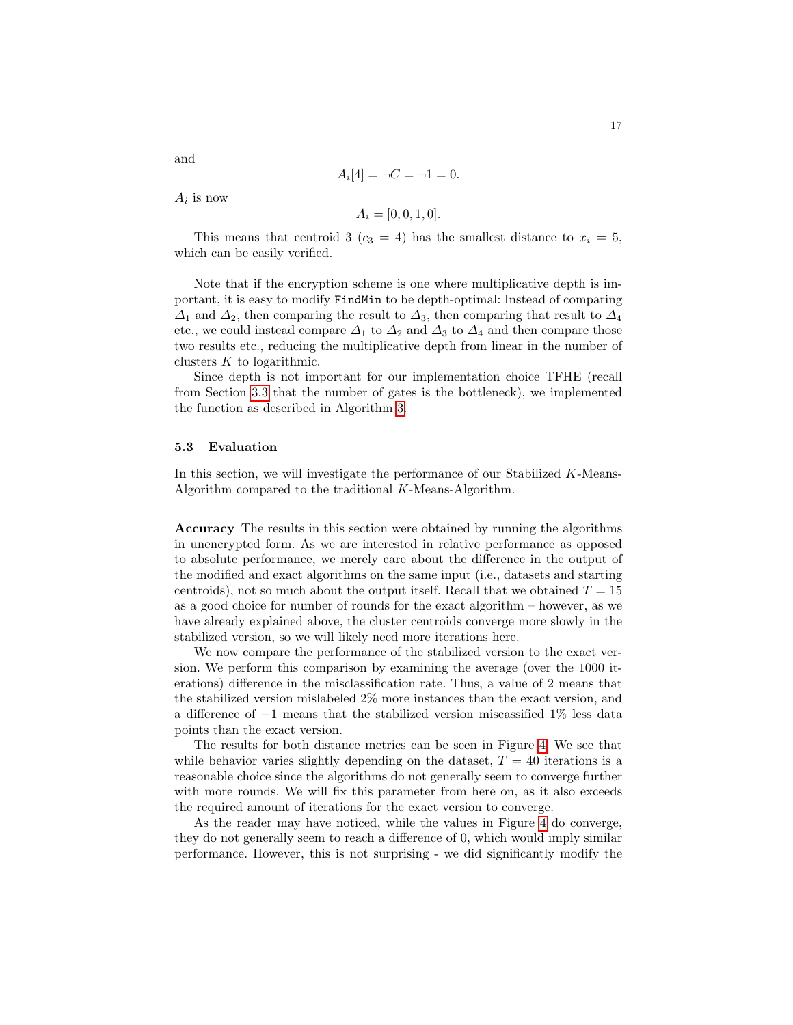and

$$
A_i[4] = \neg C = \neg 1 = 0.
$$

 $A_i$  is now

$$
A_i = [0, 0, 1, 0].
$$

This means that centroid 3 ( $c_3 = 4$ ) has the smallest distance to  $x_i = 5$ , which can be easily verified.

Note that if the encryption scheme is one where multiplicative depth is important, it is easy to modify FindMin to be depth-optimal: Instead of comparing  $\Delta_1$  and  $\Delta_2$ , then comparing the result to  $\Delta_3$ , then comparing that result to  $\Delta_4$ etc., we could instead compare  $\Delta_1$  to  $\Delta_2$  and  $\Delta_3$  to  $\Delta_4$  and then compare those two results etc., reducing the multiplicative depth from linear in the number of clusters  $K$  to logarithmic.

Since depth is not important for our implementation choice TFHE (recall from Section [3.3](#page-6-1) that the number of gates is the bottleneck), we implemented the function as described in Algorithm [3.](#page-14-0)

#### <span id="page-16-0"></span>5.3 Evaluation

In this section, we will investigate the performance of our Stabilized K-Means-Algorithm compared to the traditional K-Means-Algorithm.

<span id="page-16-1"></span>Accuracy The results in this section were obtained by running the algorithms in unencrypted form. As we are interested in relative performance as opposed to absolute performance, we merely care about the difference in the output of the modified and exact algorithms on the same input (i.e., datasets and starting centroids), not so much about the output itself. Recall that we obtained  $T = 15$ as a good choice for number of rounds for the exact algorithm – however, as we have already explained above, the cluster centroids converge more slowly in the stabilized version, so we will likely need more iterations here.

We now compare the performance of the stabilized version to the exact version. We perform this comparison by examining the average (over the 1000 iterations) difference in the misclassification rate. Thus, a value of 2 means that the stabilized version mislabeled 2% more instances than the exact version, and a difference of −1 means that the stabilized version miscassified 1% less data points than the exact version.

The results for both distance metrics can be seen in Figure [4.](#page-17-0) We see that while behavior varies slightly depending on the dataset,  $T = 40$  iterations is a reasonable choice since the algorithms do not generally seem to converge further with more rounds. We will fix this parameter from here on, as it also exceeds the required amount of iterations for the exact version to converge.

As the reader may have noticed, while the values in Figure [4](#page-17-0) do converge, they do not generally seem to reach a difference of 0, which would imply similar performance. However, this is not surprising - we did significantly modify the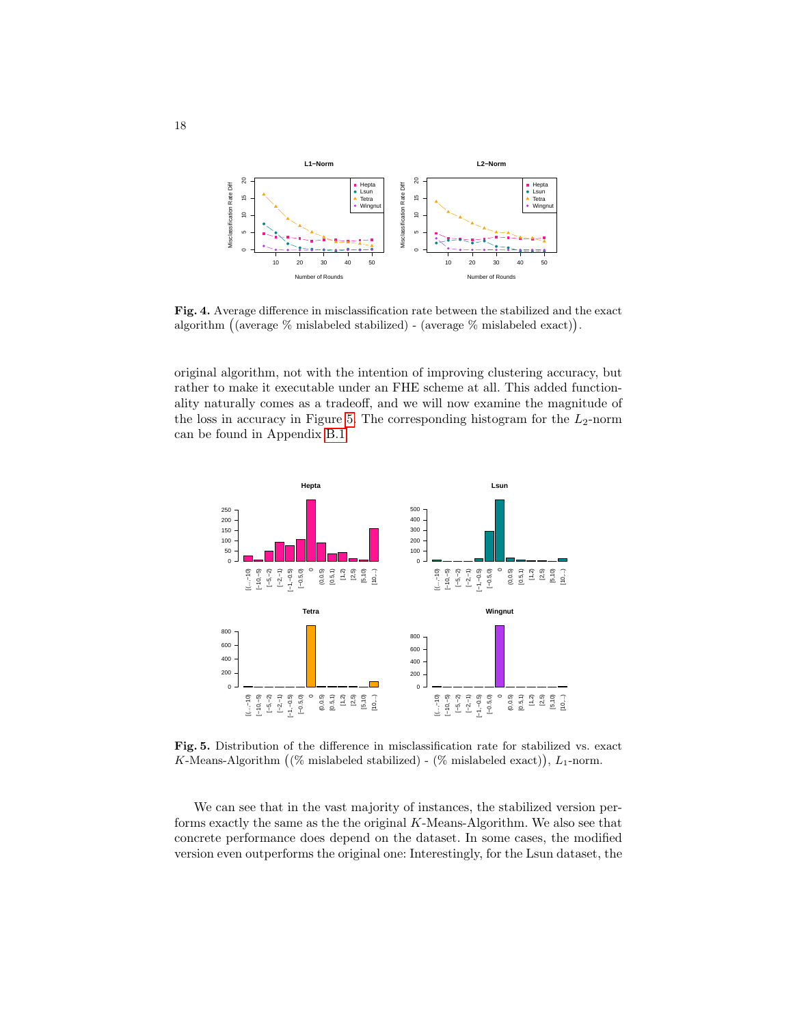

<span id="page-17-0"></span>Fig. 4. Average difference in misclassification rate between the stabilized and the exact algorithm (average % mislabeled stabilized) - (average % mislabeled exact) .

original algorithm, not with the intention of improving clustering accuracy, but rather to make it executable under an FHE scheme at all. This added functionality naturally comes as a tradeoff, and we will now examine the magnitude of the loss in accuracy in Figure [5.](#page-17-1) The corresponding histogram for the  $L_2$ -norm can be found in Appendix [B.1](#page-27-0)



<span id="page-17-1"></span>Fig. 5. Distribution of the difference in misclassification rate for stabilized vs. exact K-Means-Algorithm  $((\%$  mislabeled stabilized) -  $(\%$  mislabeled exact),  $L_1$ -norm.

We can see that in the vast majority of instances, the stabilized version performs exactly the same as the the original  $K$ -Means-Algorithm. We also see that concrete performance does depend on the dataset. In some cases, the modified version even outperforms the original one: Interestingly, for the Lsun dataset, the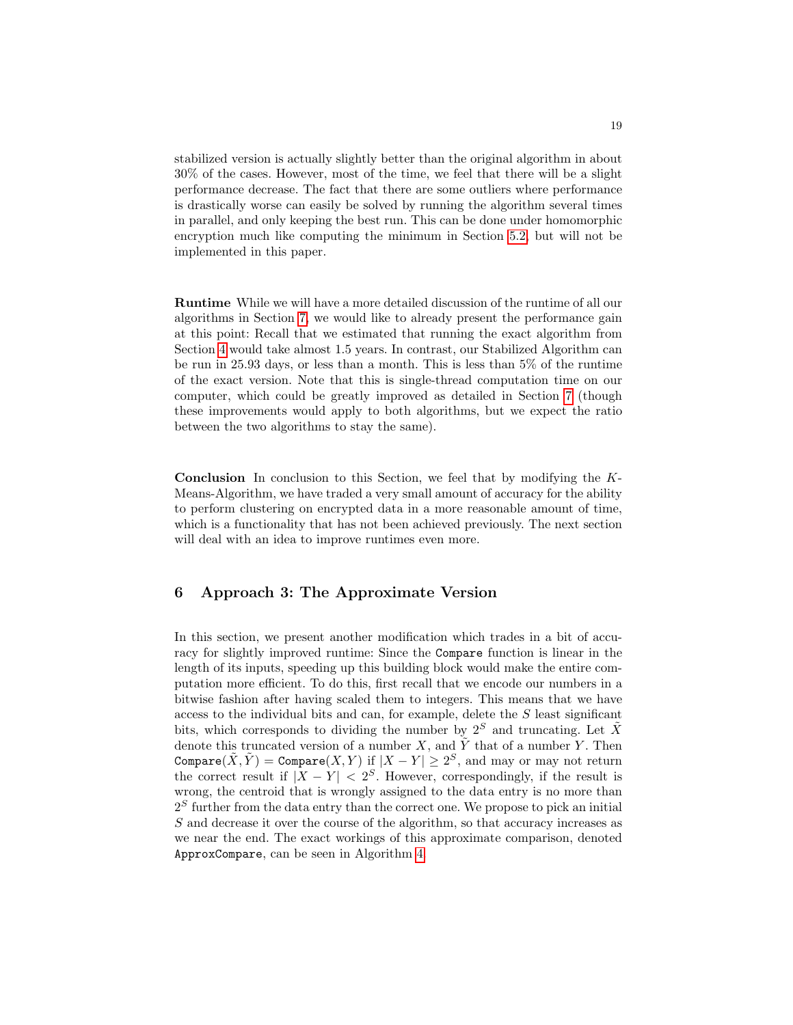stabilized version is actually slightly better than the original algorithm in about 30% of the cases. However, most of the time, we feel that there will be a slight performance decrease. The fact that there are some outliers where performance is drastically worse can easily be solved by running the algorithm several times in parallel, and only keeping the best run. This can be done under homomorphic encryption much like computing the minimum in Section [5.2,](#page-12-1) but will not be implemented in this paper.

Runtime While we will have a more detailed discussion of the runtime of all our algorithms in Section [7,](#page-22-0) we would like to already present the performance gain at this point: Recall that we estimated that running the exact algorithm from Section [4](#page-6-2) would take almost 1.5 years. In contrast, our Stabilized Algorithm can be run in 25.93 days, or less than a month. This is less than 5% of the runtime of the exact version. Note that this is single-thread computation time on our computer, which could be greatly improved as detailed in Section [7](#page-22-0) (though these improvements would apply to both algorithms, but we expect the ratio between the two algorithms to stay the same).

Conclusion In conclusion to this Section, we feel that by modifying the K-Means-Algorithm, we have traded a very small amount of accuracy for the ability to perform clustering on encrypted data in a more reasonable amount of time, which is a functionality that has not been achieved previously. The next section will deal with an idea to improve runtimes even more.

# 6 Approach 3: The Approximate Version

In this section, we present another modification which trades in a bit of accuracy for slightly improved runtime: Since the Compare function is linear in the length of its inputs, speeding up this building block would make the entire computation more efficient. To do this, first recall that we encode our numbers in a bitwise fashion after having scaled them to integers. This means that we have access to the individual bits and can, for example, delete the  $S$  least significant bits, which corresponds to dividing the number by  $2^S$  and truncating. Let  $\tilde{X}$ denote this truncated version of a number X, and  $\tilde{Y}$  that of a number Y. Then Compare $(\tilde{X},\tilde{Y}) =$  Compare $(X,Y)$  if  $|X-Y| \geq 2^S,$  and may or may not return the correct result if  $|X - Y| < 2^S$ . However, correspondingly, if the result is wrong, the centroid that is wrongly assigned to the data entry is no more than  $2<sup>S</sup>$  further from the data entry than the correct one. We propose to pick an initial S and decrease it over the course of the algorithm, so that accuracy increases as we near the end. The exact workings of this approximate comparison, denoted ApproxCompare, can be seen in Algorithm [4.](#page-19-0)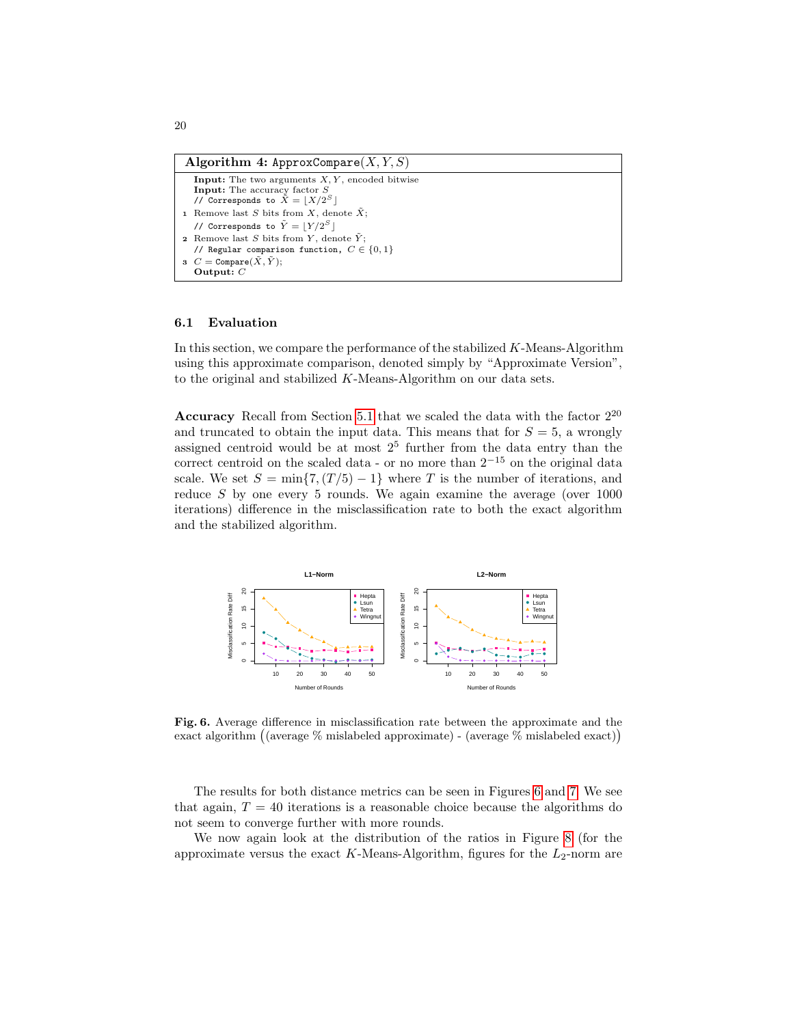```
Algorithm 4: ApproxCompare(X, Y, S)Input: The two arguments X, Y, encoded bitwise
  Input: The accuracy factor S// Corresponds to \tilde{\tilde{X}} = \lfloor X/2^S \rfloor1 Remove last S bits from X, denote \tilde{X};// Corresponds to \tilde{Y} = \lfloor Y / 2^S \rfloor2 Remove last S bits from Y, denote \tilde{Y};
  // Regular comparison function, C \in \{0, 1\}3 C = Compare(\tilde{X}, \tilde{Y});Output: C
```
#### <span id="page-19-0"></span>6.1 Evaluation

In this section, we compare the performance of the stabilized K-Means-Algorithm using this approximate comparison, denoted simply by "Approximate Version", to the original and stabilized K-Means-Algorithm on our data sets.

<span id="page-19-2"></span>Accuracy Recall from Section [5.1](#page-12-2) that we scaled the data with the factor  $2^{20}$ and truncated to obtain the input data. This means that for  $S = 5$ , a wrongly assigned centroid would be at most  $2<sup>5</sup>$  further from the data entry than the correct centroid on the scaled data - or no more than  $2^{-15}$  on the original data scale. We set  $S = \min\{7, (T/5) - 1\}$  where T is the number of iterations, and reduce S by one every 5 rounds. We again examine the average (over 1000 iterations) difference in the misclassification rate to both the exact algorithm and the stabilized algorithm.



<span id="page-19-1"></span>Fig. 6. Average difference in misclassification rate between the approximate and the exact algorithm (average % mislabeled approximate) - (average % mislabeled exact)

The results for both distance metrics can be seen in Figures [6](#page-19-1) and [7.](#page-20-0) We see that again,  $T = 40$  iterations is a reasonable choice because the algorithms do not seem to converge further with more rounds.

We now again look at the distribution of the ratios in Figure [8](#page-20-1) (for the approximate versus the exact K-Means-Algorithm, figures for the  $L_2$ -norm are

20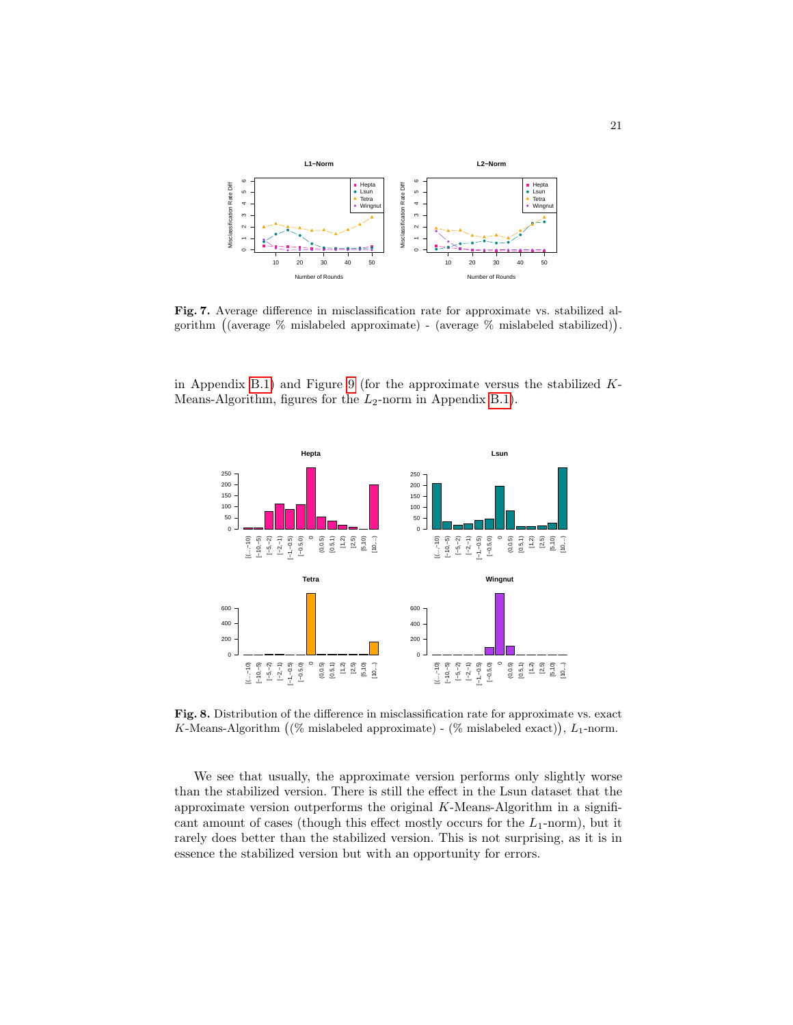

<span id="page-20-0"></span>Fig. 7. Average difference in misclassification rate for approximate vs. stabilized algorithm (average % mislabeled approximate) - (average % mislabeled stabilized) .

in Appendix [B.1\)](#page-28-0) and Figure [9](#page-21-0) (for the approximate versus the stabilized K-Means-Algorithm, figures for the  $L_2$ -norm in Appendix [B.1\)](#page-29-0).



<span id="page-20-1"></span>Fig. 8. Distribution of the difference in misclassification rate for approximate vs. exact K-Means-Algorithm  $((\% \text{ mislabeled approximate}) - (\% \text{ mislabeled exact})), L_1\text{-norm}.$ 

We see that usually, the approximate version performs only slightly worse than the stabilized version. There is still the effect in the Lsun dataset that the approximate version outperforms the original  $K$ -Means-Algorithm in a significant amount of cases (though this effect mostly occurs for the  $L_1$ -norm), but it rarely does better than the stabilized version. This is not surprising, as it is in essence the stabilized version but with an opportunity for errors.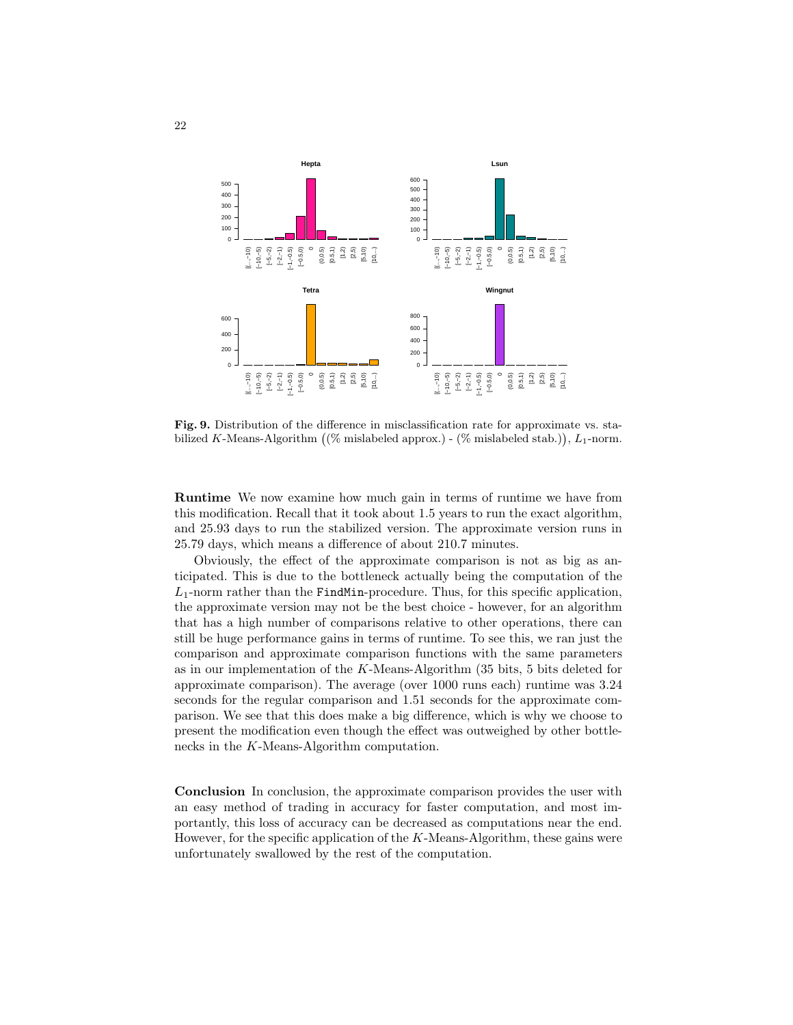

<span id="page-21-0"></span>Fig. 9. Distribution of the difference in misclassification rate for approximate vs. stabilized K-Means-Algorithm  $((\% \text{ mislabeled approx.}) - (\% \text{ mislabeled stab.})), L_1\text{-norm.}$ 

Runtime We now examine how much gain in terms of runtime we have from this modification. Recall that it took about 1.5 years to run the exact algorithm, and 25.93 days to run the stabilized version. The approximate version runs in 25.79 days, which means a difference of about 210.7 minutes.

Obviously, the effect of the approximate comparison is not as big as anticipated. This is due to the bottleneck actually being the computation of the  $L_1$ -norm rather than the FindMin-procedure. Thus, for this specific application, the approximate version may not be the best choice - however, for an algorithm that has a high number of comparisons relative to other operations, there can still be huge performance gains in terms of runtime. To see this, we ran just the comparison and approximate comparison functions with the same parameters as in our implementation of the K-Means-Algorithm (35 bits, 5 bits deleted for approximate comparison). The average (over 1000 runs each) runtime was 3.24 seconds for the regular comparison and 1.51 seconds for the approximate comparison. We see that this does make a big difference, which is why we choose to present the modification even though the effect was outweighed by other bottlenecks in the K-Means-Algorithm computation.

Conclusion In conclusion, the approximate comparison provides the user with an easy method of trading in accuracy for faster computation, and most importantly, this loss of accuracy can be decreased as computations near the end. However, for the specific application of the  $K$ -Means-Algorithm, these gains were unfortunately swallowed by the rest of the computation.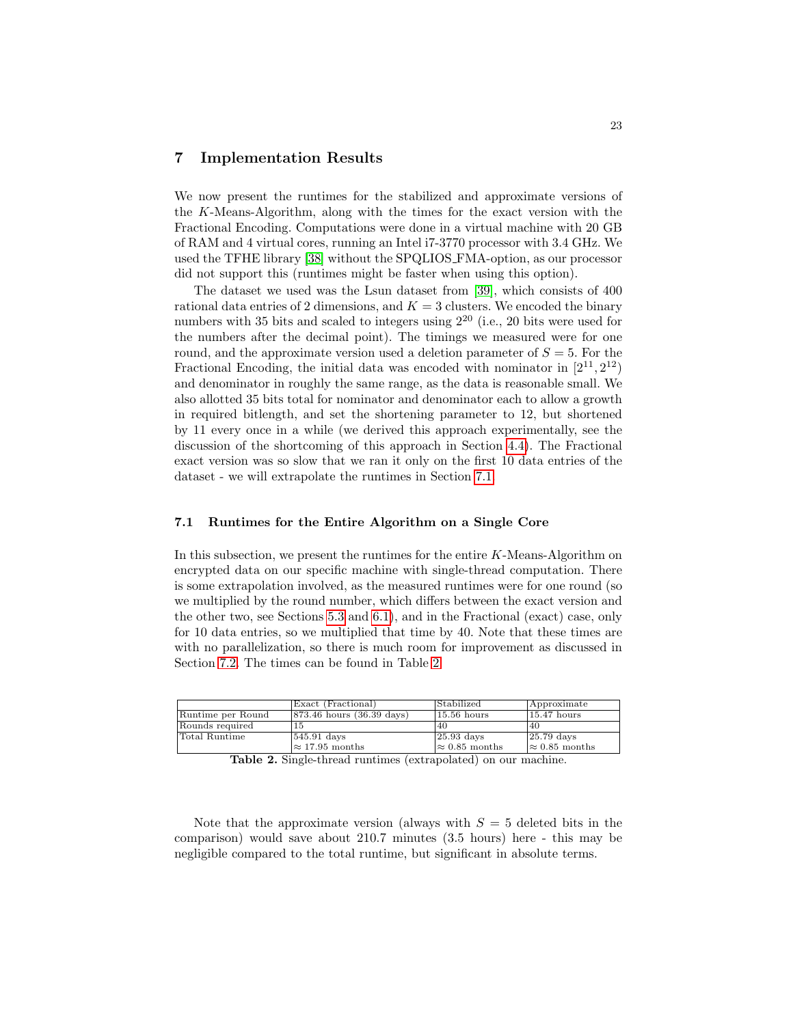### <span id="page-22-0"></span>7 Implementation Results

We now present the runtimes for the stabilized and approximate versions of the K-Means-Algorithm, along with the times for the exact version with the Fractional Encoding. Computations were done in a virtual machine with 20 GB of RAM and 4 virtual cores, running an Intel i7-3770 processor with 3.4 GHz. We used the TFHE library [\[38\]](#page-25-1) without the SPQLIOS FMA-option, as our processor did not support this (runtimes might be faster when using this option).

The dataset we used was the Lsun dataset from [\[39\]](#page-25-15), which consists of 400 rational data entries of 2 dimensions, and  $K = 3$  clusters. We encoded the binary numbers with 35 bits and scaled to integers using  $2^{20}$  (i.e., 20 bits were used for the numbers after the decimal point). The timings we measured were for one round, and the approximate version used a deletion parameter of  $S = 5$ . For the Fractional Encoding, the initial data was encoded with nominator in  $[2^{11}, 2^{12})$ and denominator in roughly the same range, as the data is reasonable small. We also allotted 35 bits total for nominator and denominator each to allow a growth in required bitlength, and set the shortening parameter to 12, but shortened by 11 every once in a while (we derived this approach experimentally, see the discussion of the shortcoming of this approach in Section [4.4\)](#page-10-1). The Fractional exact version was so slow that we ran it only on the first 10 data entries of the dataset - we will extrapolate the runtimes in Section [7.1.](#page-22-1)

#### <span id="page-22-1"></span>7.1 Runtimes for the Entire Algorithm on a Single Core

In this subsection, we present the runtimes for the entire  $K$ -Means-Algorithm on encrypted data on our specific machine with single-thread computation. There is some extrapolation involved, as the measured runtimes were for one round (so we multiplied by the round number, which differs between the exact version and the other two, see Sections [5.3](#page-16-1) and [6.1\)](#page-19-2), and in the Fractional (exact) case, only for 10 data entries, so we multiplied that time by 40. Note that these times are with no parallelization, so there is much room for improvement as discussed in Section [7.2.](#page-23-2) The times can be found in Table [2.](#page-22-2)

|                   | Exact (Fractional)                            | Stabilized            | Approximate           |
|-------------------|-----------------------------------------------|-----------------------|-----------------------|
| Runtime per Round | $(873.46 \text{ hours } (36.39 \text{ days})$ | $ 15.56$ hours        | $15.47$ hours         |
| Rounds required   | 15                                            | 40                    | 40                    |
| Total Runtime     | $ 545.91$ days                                | $ 25.93$ days         | $ 25.79$ days         |
|                   | $\approx 17.95$ months                        | $\approx 0.85$ months | $\approx 0.85$ months |

<span id="page-22-2"></span>Table 2. Single-thread runtimes (extrapolated) on our machine.

Note that the approximate version (always with  $S = 5$  deleted bits in the comparison) would save about 210.7 minutes (3.5 hours) here - this may be negligible compared to the total runtime, but significant in absolute terms.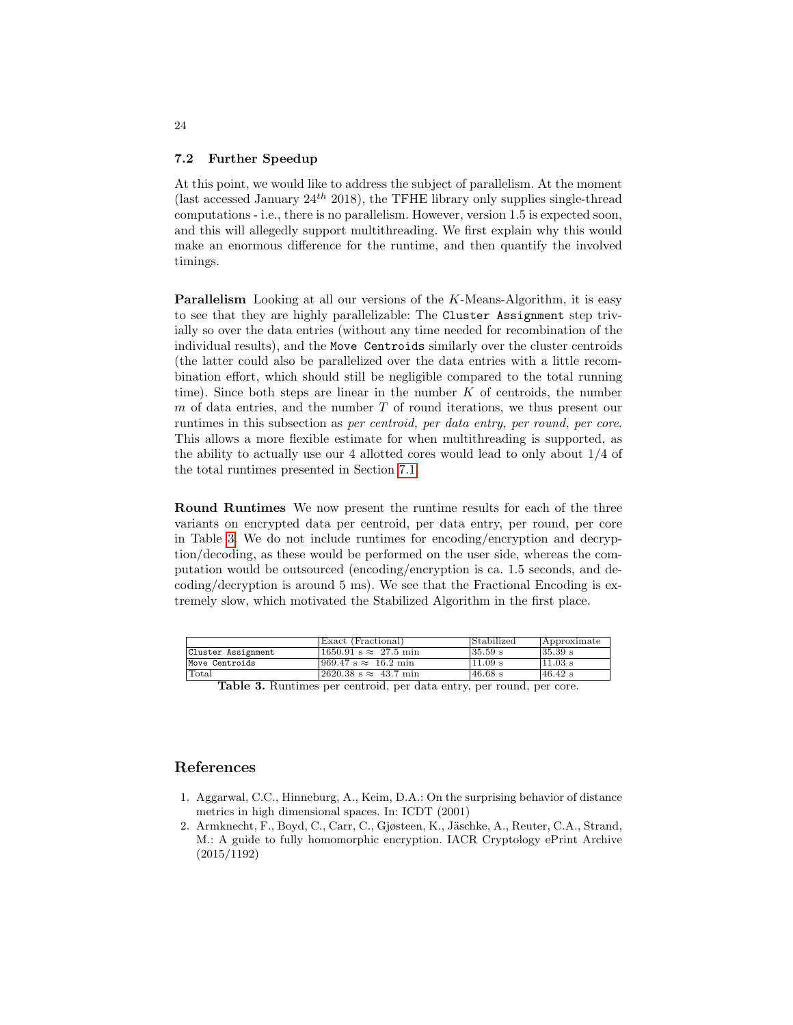#### <span id="page-23-2"></span>7.2 Further Speedup

At this point, we would like to address the subject of parallelism. At the moment (last accessed January  $24^{th}$  2018), the TFHE library only supplies single-thread computations - i.e., there is no parallelism. However, version 1.5 is expected soon, and this will allegedly support multithreading. We first explain why this would make an enormous difference for the runtime, and then quantify the involved timings.

Parallelism Looking at all our versions of the K-Means-Algorithm, it is easy to see that they are highly parallelizable: The Cluster Assignment step trivially so over the data entries (without any time needed for recombination of the individual results), and the Move Centroids similarly over the cluster centroids (the latter could also be parallelized over the data entries with a little recombination effort, which should still be negligible compared to the total running time). Since both steps are linear in the number  $K$  of centroids, the number  $m$  of data entries, and the number  $T$  of round iterations, we thus present our runtimes in this subsection as per centroid, per data entry, per round, per core. This allows a more flexible estimate for when multithreading is supported, as the ability to actually use our 4 allotted cores would lead to only about  $1/4$  of the total runtimes presented in Section [7.1.](#page-22-1)

Round Runtimes We now present the runtime results for each of the three variants on encrypted data per centroid, per data entry, per round, per core in Table [3.](#page-23-3) We do not include runtimes for encoding/encryption and decryption/decoding, as these would be performed on the user side, whereas the computation would be outsourced (encoding/encryption is ca. 1.5 seconds, and decoding/decryption is around 5 ms). We see that the Fractional Encoding is extremely slow, which motivated the Stabilized Algorithm in the first place.

|                    | Exact (Fractional)                            | Stabilized          | Approximate |
|--------------------|-----------------------------------------------|---------------------|-------------|
| Cluster Assignment | $1650.91 \text{ s} \approx 27.5 \text{ min}$  | $ 35.59 \text{ s} $ | $35.39$ s   |
| Move Centroids     | $1969.47 \text{ s} \approx 16.2 \text{ min}$  | 11.09 s             | $11.03$ s   |
| Total              | $ 2620.38 \text{ s} \approx 43.7 \text{ min}$ | $46.68$ s           | $46.42$ s   |
| m 11 o D +         |                                               |                     |             |

<span id="page-23-3"></span>Table 3. Runtimes per centroid, per data entry, per round, per core.

# References

- <span id="page-23-1"></span>1. Aggarwal, C.C., Hinneburg, A., Keim, D.A.: On the surprising behavior of distance metrics in high dimensional spaces. In: ICDT (2001)
- <span id="page-23-0"></span>2. Armknecht, F., Boyd, C., Carr, C., Gjøsteen, K., Jäschke, A., Reuter, C.A., Strand, M.: A guide to fully homomorphic encryption. IACR Cryptology ePrint Archive (2015/1192)

24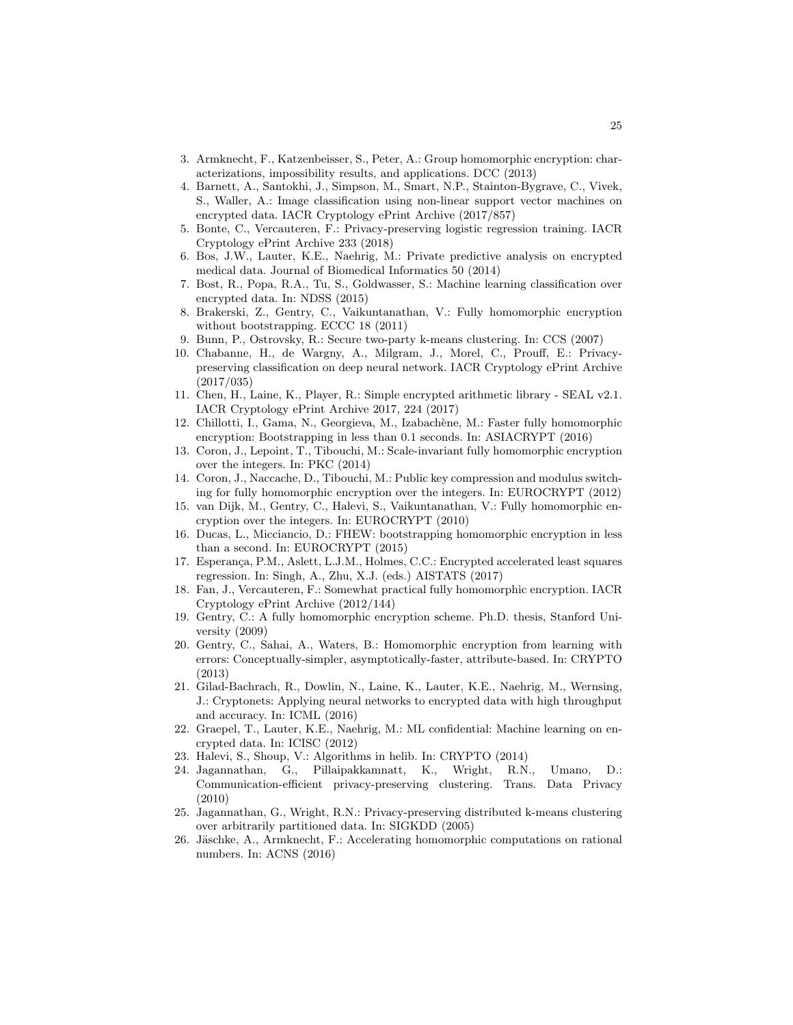- <span id="page-24-0"></span>3. Armknecht, F., Katzenbeisser, S., Peter, A.: Group homomorphic encryption: characterizations, impossibility results, and applications. DCC (2013)
- <span id="page-24-17"></span>4. Barnett, A., Santokhi, J., Simpson, M., Smart, N.P., Stainton-Bygrave, C., Vivek, S., Waller, A.: Image classification using non-linear support vector machines on encrypted data. IACR Cryptology ePrint Archive (2017/857)
- <span id="page-24-20"></span>5. Bonte, C., Vercauteren, F.: Privacy-preserving logistic regression training. IACR Cryptology ePrint Archive 233 (2018)
- <span id="page-24-19"></span>6. Bos, J.W., Lauter, K.E., Naehrig, M.: Private predictive analysis on encrypted medical data. Journal of Biomedical Informatics 50 (2014)
- <span id="page-24-15"></span>7. Bost, R., Popa, R.A., Tu, S., Goldwasser, S.: Machine learning classification over encrypted data. In: NDSS (2015)
- <span id="page-24-3"></span>8. Brakerski, Z., Gentry, C., Vaikuntanathan, V.: Fully homomorphic encryption without bootstrapping. ECCC 18 (2011)
- <span id="page-24-21"></span>9. Bunn, P., Ostrovsky, R.: Secure two-party k-means clustering. In: CCS (2007)
- <span id="page-24-14"></span>10. Chabanne, H., de Wargny, A., Milgram, J., Morel, C., Prouff, E.: Privacypreserving classification on deep neural network. IACR Cryptology ePrint Archive (2017/035)
- <span id="page-24-10"></span>11. Chen, H., Laine, K., Player, R.: Simple encrypted arithmetic library - SEAL v2.1. IACR Cryptology ePrint Archive 2017, 224 (2017)
- <span id="page-24-6"></span>12. Chillotti, I., Gama, N., Georgieva, M., Izabachène, M.: Faster fully homomorphic encryption: Bootstrapping in less than 0.1 seconds. In: ASIACRYPT (2016)
- <span id="page-24-7"></span>13. Coron, J., Lepoint, T., Tibouchi, M.: Scale-invariant fully homomorphic encryption over the integers. In: PKC (2014)
- <span id="page-24-4"></span>14. Coron, J., Naccache, D., Tibouchi, M.: Public key compression and modulus switching for fully homomorphic encryption over the integers. In: EUROCRYPT (2012)
- <span id="page-24-2"></span>15. van Dijk, M., Gentry, C., Halevi, S., Vaikuntanathan, V.: Fully homomorphic encryption over the integers. In: EUROCRYPT (2010)
- <span id="page-24-11"></span>16. Ducas, L., Micciancio, D.: FHEW: bootstrapping homomorphic encryption in less than a second. In: EUROCRYPT (2015)
- <span id="page-24-16"></span>17. Esperança, P.M., Aslett, L.J.M., Holmes, C.C.: Encrypted accelerated least squares regression. In: Singh, A., Zhu, X.J. (eds.) AISTATS (2017)
- <span id="page-24-5"></span>18. Fan, J., Vercauteren, F.: Somewhat practical fully homomorphic encryption. IACR Cryptology ePrint Archive (2012/144)
- <span id="page-24-1"></span>19. Gentry, C.: A fully homomorphic encryption scheme. Ph.D. thesis, Stanford University (2009)
- <span id="page-24-8"></span>20. Gentry, C., Sahai, A., Waters, B.: Homomorphic encryption from learning with errors: Conceptually-simpler, asymptotically-faster, attribute-based. In: CRYPTO (2013)
- <span id="page-24-13"></span>21. Gilad-Bachrach, R., Dowlin, N., Laine, K., Lauter, K.E., Naehrig, M., Wernsing, J.: Cryptonets: Applying neural networks to encrypted data with high throughput and accuracy. In: ICML (2016)
- <span id="page-24-18"></span>22. Graepel, T., Lauter, K.E., Naehrig, M.: ML confidential: Machine learning on encrypted data. In: ICISC (2012)
- <span id="page-24-9"></span>23. Halevi, S., Shoup, V.: Algorithms in helib. In: CRYPTO (2014)
- <span id="page-24-23"></span>24. Jagannathan, G., Pillaipakkamnatt, K., Wright, R.N., Umano, D.: Communication-efficient privacy-preserving clustering. Trans. Data Privacy (2010)
- <span id="page-24-22"></span>25. Jagannathan, G., Wright, R.N.: Privacy-preserving distributed k-means clustering over arbitrarily partitioned data. In: SIGKDD (2005)
- <span id="page-24-12"></span>26. Jäschke, A., Armknecht, F.: Accelerating homomorphic computations on rational numbers. In: ACNS (2016)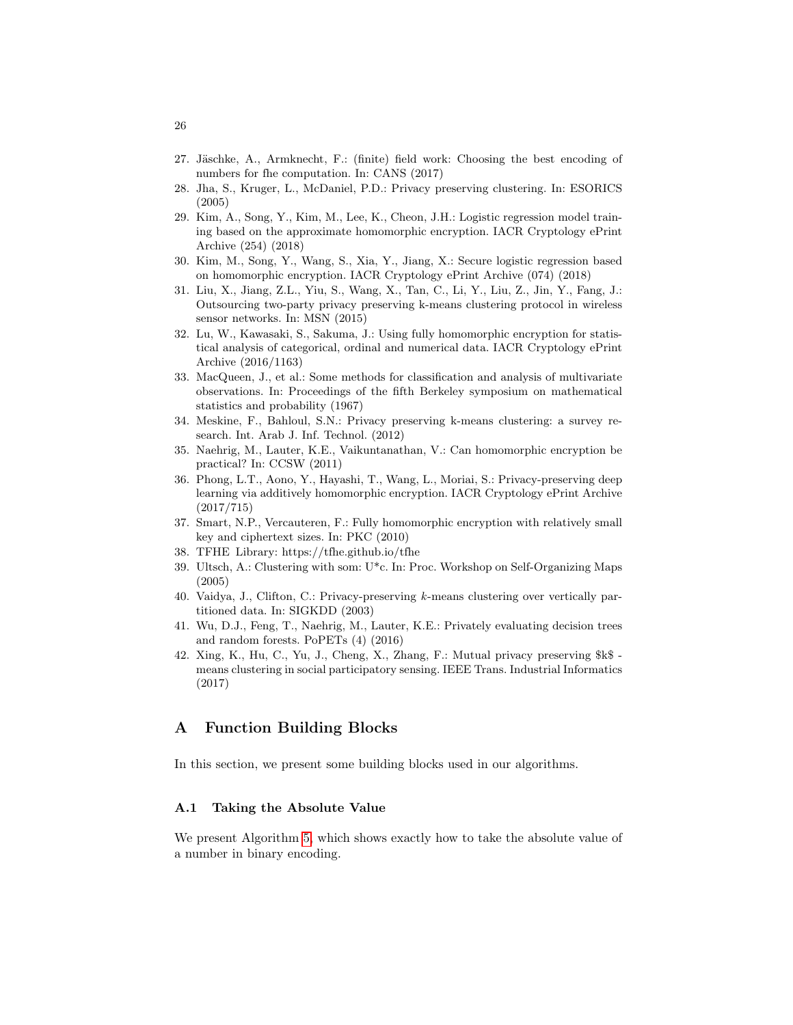- <span id="page-25-14"></span>27. Jäschke, A., Armknecht, F.: (finite) field work: Choosing the best encoding of numbers for fhe computation. In: CANS (2017)
- <span id="page-25-12"></span>28. Jha, S., Kruger, L., McDaniel, P.D.: Privacy preserving clustering. In: ESORICS (2005)
- <span id="page-25-7"></span>29. Kim, A., Song, Y., Kim, M., Lee, K., Cheon, J.H.: Logistic regression model training based on the approximate homomorphic encryption. IACR Cryptology ePrint Archive (254) (2018)
- <span id="page-25-6"></span>30. Kim, M., Song, Y., Wang, S., Xia, Y., Jiang, X.: Secure logistic regression based on homomorphic encryption. IACR Cryptology ePrint Archive (074) (2018)
- <span id="page-25-8"></span>31. Liu, X., Jiang, Z.L., Yiu, S., Wang, X., Tan, C., Li, Y., Liu, Z., Jin, Y., Fang, J.: Outsourcing two-party privacy preserving k-means clustering protocol in wireless sensor networks. In: MSN (2015)
- <span id="page-25-4"></span>32. Lu, W., Kawasaki, S., Sakuma, J.: Using fully homomorphic encryption for statistical analysis of categorical, ordinal and numerical data. IACR Cryptology ePrint Archive (2016/1163)
- <span id="page-25-13"></span>33. MacQueen, J., et al.: Some methods for classification and analysis of multivariate observations. In: Proceedings of the fifth Berkeley symposium on mathematical statistics and probability (1967)
- <span id="page-25-10"></span>34. Meskine, F., Bahloul, S.N.: Privacy preserving k-means clustering: a survey research. Int. Arab J. Inf. Technol. (2012)
- <span id="page-25-2"></span>35. Naehrig, M., Lauter, K.E., Vaikuntanathan, V.: Can homomorphic encryption be practical? In: CCSW (2011)
- <span id="page-25-3"></span>36. Phong, L.T., Aono, Y., Hayashi, T., Wang, L., Moriai, S.: Privacy-preserving deep learning via additively homomorphic encryption. IACR Cryptology ePrint Archive (2017/715)
- <span id="page-25-0"></span>37. Smart, N.P., Vercauteren, F.: Fully homomorphic encryption with relatively small key and ciphertext sizes. In: PKC (2010)
- <span id="page-25-1"></span>38. TFHE Library: https://tfhe.github.io/tfhe
- <span id="page-25-15"></span>39. Ultsch, A.: Clustering with som: U\*c. In: Proc. Workshop on Self-Organizing Maps (2005)
- <span id="page-25-11"></span>40. Vaidya, J., Clifton, C.: Privacy-preserving k-means clustering over vertically partitioned data. In: SIGKDD (2003)
- <span id="page-25-5"></span>41. Wu, D.J., Feng, T., Naehrig, M., Lauter, K.E.: Privately evaluating decision trees and random forests. PoPETs (4) (2016)
- <span id="page-25-9"></span>42. Xing, K., Hu, C., Yu, J., Cheng, X., Zhang, F.: Mutual privacy preserving \$k\$ means clustering in social participatory sensing. IEEE Trans. Industrial Informatics (2017)

# A Function Building Blocks

In this section, we present some building blocks used in our algorithms.

#### <span id="page-25-16"></span>A.1 Taking the Absolute Value

We present Algorithm [5,](#page-26-1) which shows exactly how to take the absolute value of a number in binary encoding.

26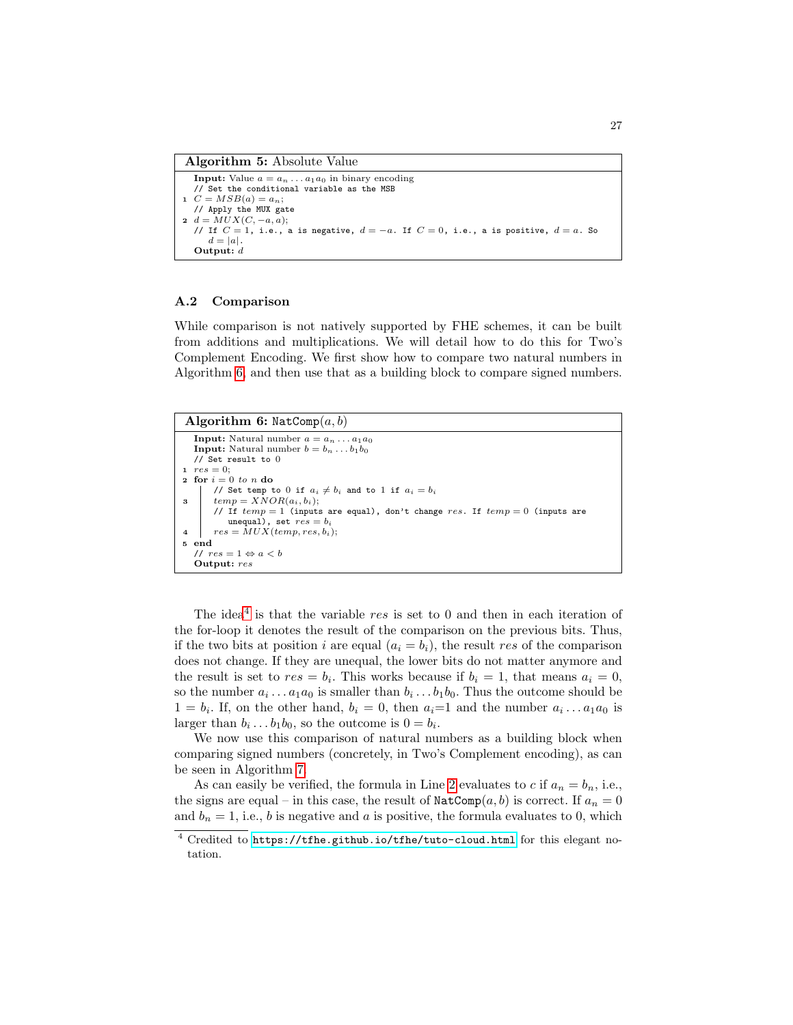```
Algorithm 5: Absolute Value
  Input: Value a = a_n \dots a_1 a_0 in binary encoding
// Set the conditional variable as the MSB<br>1 C = MSB(a) = a_n;// Apply the MUX gate
\label{eq:2.1} \textbf{2} \ \ d = \text{MUX}(C, -a, a);// If C = 1, i.e., a is negative, d = -a. If C = 0, i.e., a is positive, d = a. So
   d = |a|.<br>Output: d
```
#### <span id="page-26-1"></span><span id="page-26-0"></span>A.2 Comparison

While comparison is not natively supported by FHE schemes, it can be built from additions and multiplications. We will detail how to do this for Two's Complement Encoding. We first show how to compare two natural numbers in Algorithm [6,](#page-26-2) and then use that as a building block to compare signed numbers.

Algorithm 6: NatComp $(a, b)$ 

```
Input: Natural number a = a_n \dots a_1 a_0Input: Natural number b = b_n \dots b_1 b_0// Set result to 0
1 res = 0:
2 for i = 0 to n do
       // Set temp to 0 if a_i \neq b_i and to 1 if a_i = b_i\textbf{s} \vert temp = XNOR(a_i, b_i);// If temp = 1 (inputs are equal), don't change res. If temp = 0 (inputs are
          unequal), set res = b_i4 res = MUX(temp, res, b_i);5 end
  // res = 1 \Leftrightarrow a < bOutput: res
```
<span id="page-26-2"></span>The idea<sup>[4](#page-26-3)</sup> is that the variable res is set to 0 and then in each iteration of the for-loop it denotes the result of the comparison on the previous bits. Thus, if the two bits at position i are equal  $(a_i = b_i)$ , the result res of the comparison does not change. If they are unequal, the lower bits do not matter anymore and the result is set to  $res = b_i$ . This works because if  $b_i = 1$ , that means  $a_i = 0$ , so the number  $a_i \dots a_1 a_0$  is smaller than  $b_i \dots b_1 b_0$ . Thus the outcome should be  $1 = b_i$ . If, on the other hand,  $b_i = 0$ , then  $a_i = 1$  and the number  $a_i \dots a_1 a_0$  is larger than  $b_i \dots b_1 b_0$ , so the outcome is  $0 = b_i$ .

We now use this comparison of natural numbers as a building block when comparing signed numbers (concretely, in Two's Complement encoding), as can be seen in Algorithm [7.](#page-27-1)

As can easily be verified, the formula in Line [2](#page-27-2) evaluates to c if  $a_n = b_n$ , i.e., the signs are equal – in this case, the result of  $\texttt{NatComp}(a, b)$  is correct. If  $a_n = 0$ and  $b_n = 1$ , i.e., b is negative and a is positive, the formula evaluates to 0, which

<span id="page-26-3"></span><sup>4</sup> Credited to <https://tfhe.github.io/tfhe/tuto-cloud.html> for this elegant notation.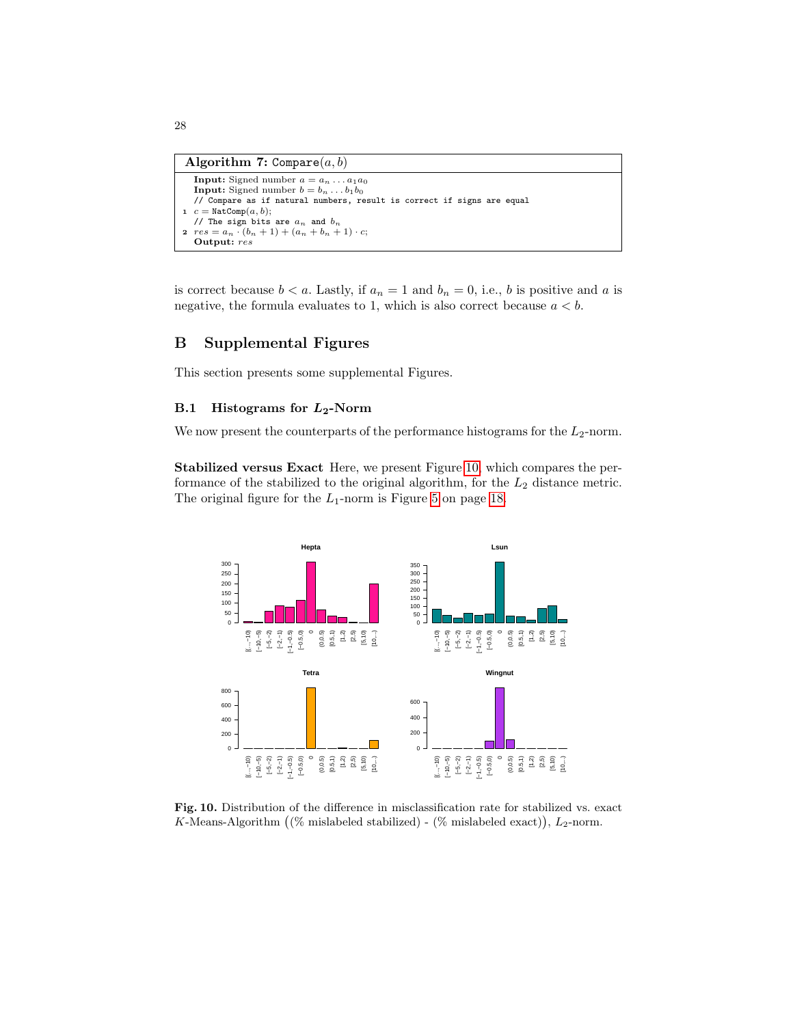```
Algorithm 7: Compare(a, b)
```

```
Input: Signed number a = a_n \dots a_1 a_0Input: Signed number b = b_n \dots b_1 b_0// Compare as if natural numbers, result is correct if signs are equal
1 \quad c = \text{NatComp}(a, b);// The sign bits are a_n and b_n2 res = a_n \cdot (b_n + 1) + (a_n + b_n + 1) \cdot c;Output: res
```
<span id="page-27-1"></span>is correct because  $b < a$ . Lastly, if  $a_n = 1$  and  $b_n = 0$ , i.e., b is positive and a is negative, the formula evaluates to 1, which is also correct because  $a < b$ .

# B Supplemental Figures

This section presents some supplemental Figures.

#### B.1 Histograms for  $L_2$ -Norm

We now present the counterparts of the performance histograms for the  $L_2$ -norm.

<span id="page-27-0"></span>Stabilized versus Exact Here, we present Figure [10,](#page-27-3) which compares the performance of the stabilized to the original algorithm, for the  $L_2$  distance metric. The original figure for the  $L_1$ -norm is Figure [5](#page-17-1) on page [18.](#page-17-1)



<span id="page-27-3"></span>Fig. 10. Distribution of the difference in misclassification rate for stabilized vs. exact K-Means-Algorithm  $((\%$  mislabeled stabilized) -  $(\%$  mislabeled exact),  $L_2$ -norm.

28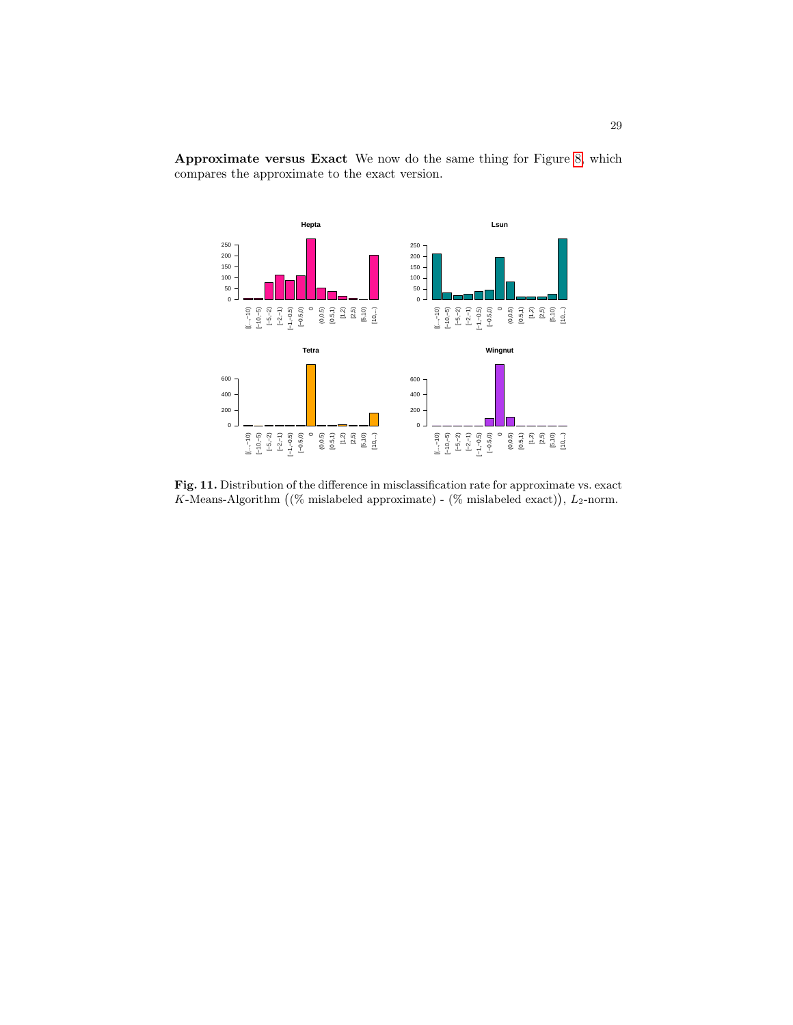<span id="page-28-0"></span>Approximate versus Exact We now do the same thing for Figure [8,](#page-20-1) which compares the approximate to the exact version.



Fig. 11. Distribution of the difference in misclassification rate for approximate vs. exact K-Means-Algorithm  $((\% \text{ mislabeled approximate}) - (\% \text{ mislabeled exact})), L_2$ -norm.